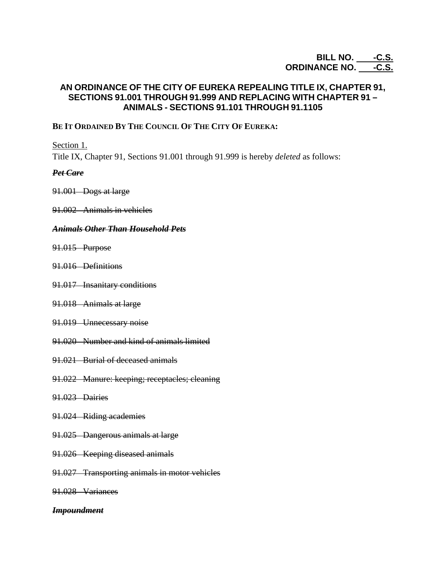# **BILL NO. \_\_\_\_\_-C.S.** ORDINANCE NO. \_\_\_\_-<u>C.S.</u>

# **AN ORDINANCE OF THE CITY OF EUREKA REPEALING TITLE IX, CHAPTER 91, SECTIONS 91.001 THROUGH 91.999 AND REPLACING WITH CHAPTER 91 – ANIMALS - SECTIONS 91.101 THROUGH 91.1105**

## **BE IT ORDAINED BY THE COUNCIL OF THE CITY OF EUREKA:**

Section 1.

Title IX, Chapter 91, Sections 91.001 through 91.999 is hereby *deleted* as follows:

### *Pet Care*

- 91.001 Dogs at large
- 91.002 Animals in vehicles

### *Animals Other Than Household Pets*

- 91.015 Purpose
- 91.016 Definitions
- 91.017 Insanitary conditions
- 91.018 Animals at large
- 91.019 Unnecessary noise
- 91.020 Number and kind of animals limited
- 91.021 Burial of deceased animals
- 91.022 Manure: keeping; receptacles; cleaning
- 91.023 Dairies
- 91.024 Riding academies
- 91.025 Dangerous animals at large
- 91.026 Keeping diseased animals
- 91.027 Transporting animals in motor vehicles
- 91.028 Variances

### *Impoundment*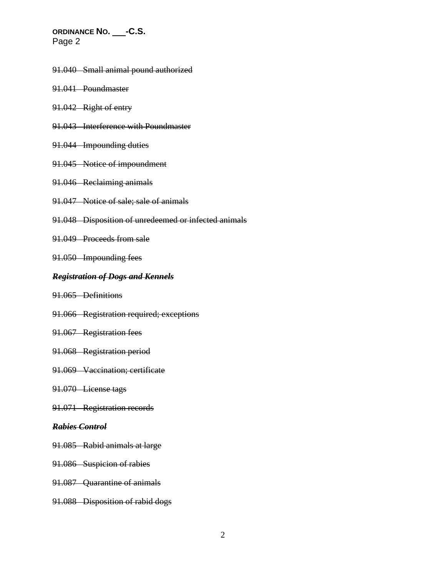- 91.040 Small animal pound authorized
- 91.041 Poundmaster
- 91.042 Right of entry
- 91.043 Interference with Poundmaster
- 91.044 Impounding duties
- 91.045 Notice of impoundment
- 91.046 Reclaiming animals
- 91.047 Notice of sale; sale of animals
- 91.048 Disposition of unredeemed or infected animals
- 91.049 Proceeds from sale
- 91.050 Impounding fees

### *Registration of Dogs and Kennels*

- 91.065 Definitions
- 91.066 Registration required; exceptions
- 91.067 Registration fees
- 91.068 Registration period
- 91.069 Vaccination; certificate
- 91.070 License tags
- 91.071 Registration records

#### *Rabies Control*

- 91.085 Rabid animals at large
- 91.086 Suspicion of rabies
- 91.087 Quarantine of animals
- 91.088 Disposition of rabid dogs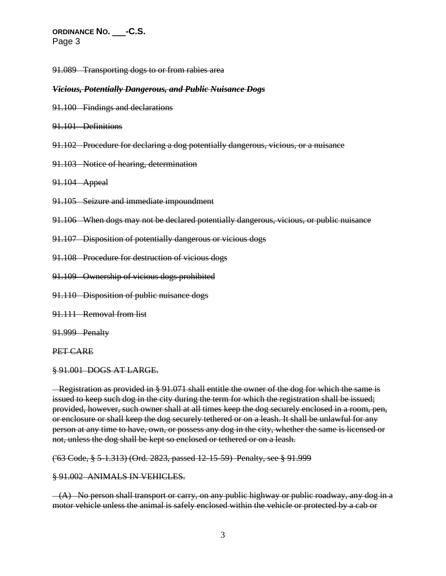91.089 Transporting dogs to or from rabies area

#### *Vicious, Potentially Dangerous, and Public Nuisance Dogs*

- 91.100 Findings and declarations
- 91.101 Definitions
- 91.102 Procedure for declaring a dog potentially dangerous, vicious, or a nuisance
- 91.103 Notice of hearing, determination
- 91.104 Appeal
- 91.105 Seizure and immediate impoundment
- 91.106 When dogs may not be declared potentially dangerous, vicious, or public nuisance
- 91.107 Disposition of potentially dangerous or vicious dogs
- 91.108 Procedure for destruction of vicious dogs
- 91.109 Ownership of vicious dogs prohibited
- 91.110 Disposition of public nuisance dogs
- 91.111 Removal from list
- 91.999 Penalty

#### PET CARE

§ 91.001 DOGS AT LARGE.

 Registration as provided in § 91.071 shall entitle the owner of the dog for which the same is issued to keep such dog in the city during the term for which the registration shall be issued; provided, however, such owner shall at all times keep the dog securely enclosed in a room, pen, or enclosure or shall keep the dog securely tethered or on a leash. It shall be unlawful for any person at any time to have, own, or possess any dog in the city, whether the same is licensed or not, unless the dog shall be kept so enclosed or tethered or on a leash.

('63 Code, § 5-1.313) (Ord. 2823, passed 12-15-59) Penalty, see § 91.999

#### § 91.002 ANIMALS IN VEHICLES.

 $-(A)$  No person shall transport or carry, on any public highway or public roadway, any dog in a motor vehicle unless the animal is safely enclosed within the vehicle or protected by a cab or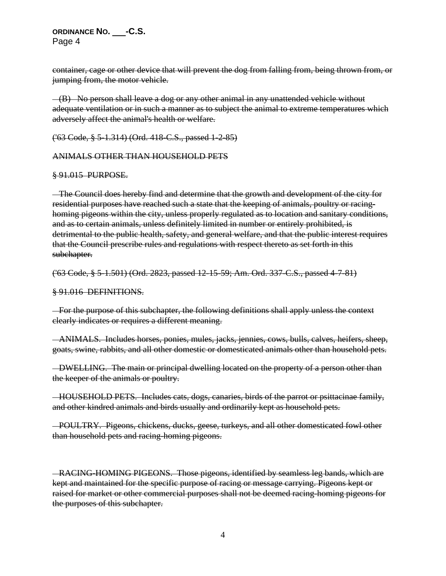container, cage or other device that will prevent the dog from falling from, being thrown from, or jumping from, the motor vehicle.

 (B) No person shall leave a dog or any other animal in any unattended vehicle without adequate ventilation or in such a manner as to subject the animal to extreme temperatures which adversely affect the animal's health or welfare.

('63 Code, § 5-1.314) (Ord. 418-C.S., passed 1-2-85)

### ANIMALS OTHER THAN HOUSEHOLD PETS

### § 91.015 PURPOSE.

 The Council does hereby find and determine that the growth and development of the city for residential purposes have reached such a state that the keeping of animals, poultry or racinghoming pigeons within the city, unless properly regulated as to location and sanitary conditions, and as to certain animals, unless definitely limited in number or entirely prohibited, is detrimental to the public health, safety, and general welfare, and that the public interest requires that the Council prescribe rules and regulations with respect thereto as set forth in this subchapter.

('63 Code, § 5-1.501) (Ord. 2823, passed 12-15-59; Am. Ord. 337-C.S., passed 4-7-81)

§ 91.016 DEFINITIONS.

For the purpose of this subchapter, the following definitions shall apply unless the context clearly indicates or requires a different meaning.

 ANIMALS. Includes horses, ponies, mules, jacks, jennies, cows, bulls, calves, heifers, sheep, goats, swine, rabbits, and all other domestic or domesticated animals other than household pets.

 DWELLING. The main or principal dwelling located on the property of a person other than the keeper of the animals or poultry.

 HOUSEHOLD PETS. Includes cats, dogs, canaries, birds of the parrot or psittacinae family, and other kindred animals and birds usually and ordinarily kept as household pets.

 POULTRY. Pigeons, chickens, ducks, geese, turkeys, and all other domesticated fowl other than household pets and racing-homing pigeons.

 RACING-HOMING PIGEONS. Those pigeons, identified by seamless leg bands, which are kept and maintained for the specific purpose of racing or message carrying. Pigeons kept or raised for market or other commercial purposes shall not be deemed racing-homing pigeons for the purposes of this subchapter.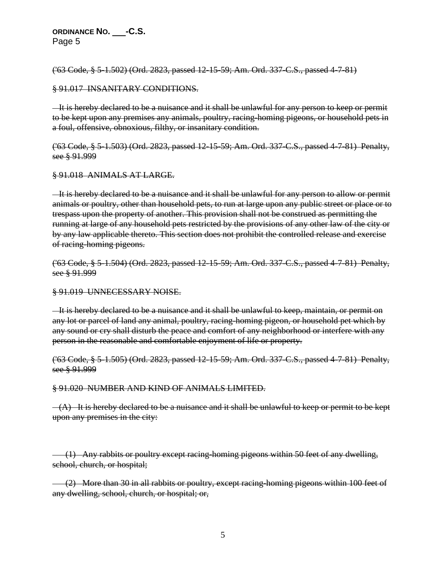('63 Code, § 5-1.502) (Ord. 2823, passed 12-15-59; Am. Ord. 337-C.S., passed 4-7-81)

#### § 91.017 INSANITARY CONDITIONS.

 It is hereby declared to be a nuisance and it shall be unlawful for any person to keep or permit to be kept upon any premises any animals, poultry, racing-homing pigeons, or household pets in a foul, offensive, obnoxious, filthy, or insanitary condition.

('63 Code, § 5-1.503) (Ord. 2823, passed 12-15-59; Am. Ord. 337-C.S., passed 4-7-81) Penalty, see § 91.999

#### § 91.018 ANIMALS AT LARGE.

 It is hereby declared to be a nuisance and it shall be unlawful for any person to allow or permit animals or poultry, other than household pets, to run at large upon any public street or place or to trespass upon the property of another. This provision shall not be construed as permitting the running at large of any household pets restricted by the provisions of any other law of the city or by any law applicable thereto. This section does not prohibit the controlled release and exercise of racing-homing pigeons.

('63 Code, § 5-1.504) (Ord. 2823, passed 12-15-59; Am. Ord. 337-C.S., passed 4-7-81) Penalty, see § 91.999

§ 91.019 UNNECESSARY NOISE.

 It is hereby declared to be a nuisance and it shall be unlawful to keep, maintain, or permit on any lot or parcel of land any animal, poultry, racing-homing pigeon, or household pet which by any sound or cry shall disturb the peace and comfort of any neighborhood or interfere with any person in the reasonable and comfortable enjoyment of life or property.

('63 Code, § 5-1.505) (Ord. 2823, passed 12-15-59; Am. Ord. 337-C.S., passed 4-7-81) Penalty, see § 91.999

§ 91.020 NUMBER AND KIND OF ANIMALS LIMITED.

 $-(A)$  It is hereby declared to be a nuisance and it shall be unlawful to keep or permit to be kept upon any premises in the city:

 (1) Any rabbits or poultry except racing-homing pigeons within 50 feet of any dwelling, school, church, or hospital;

 (2) More than 30 in all rabbits or poultry, except racing-homing pigeons within 100 feet of any dwelling, school, church, or hospital; or,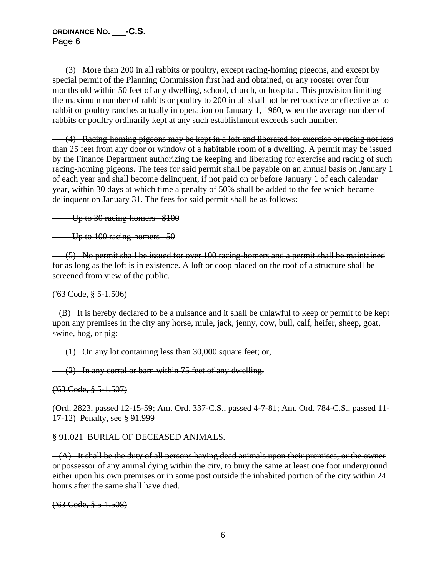(3) More than 200 in all rabbits or poultry, except racing-homing pigeons, and except by special permit of the Planning Commission first had and obtained, or any rooster over four months old within 50 feet of any dwelling, school, church, or hospital. This provision limiting the maximum number of rabbits or poultry to 200 in all shall not be retroactive or effective as to rabbit or poultry ranches actually in operation on January 1, 1960, when the average number of rabbits or poultry ordinarily kept at any such establishment exceeds such number.

 (4) Racing-homing pigeons may be kept in a loft and liberated for exercise or racing not less than 25 feet from any door or window of a habitable room of a dwelling. A permit may be issued by the Finance Department authorizing the keeping and liberating for exercise and racing of such racing-homing pigeons. The fees for said permit shall be payable on an annual basis on January 1 of each year and shall become delinquent, if not paid on or before January 1 of each calendar year, within 30 days at which time a penalty of 50% shall be added to the fee which became delinquent on January 31. The fees for said permit shall be as follows:

Up to 30 racing-homers \$100

Up to 100 racing-homers 50

 (5) No permit shall be issued for over 100 racing-homers and a permit shall be maintained for as long as the loft is in existence. A loft or coop placed on the roof of a structure shall be screened from view of the public.

('63 Code, § 5-1.506)

 (B) It is hereby declared to be a nuisance and it shall be unlawful to keep or permit to be kept upon any premises in the city any horse, mule, jack, jenny, cow, bull, calf, heifer, sheep, goat, swine, hog, or pig:

(1) On any lot containing less than 30,000 square feet; or,

 $(2)$  In any corral or barn within 75 feet of any dwelling.

('63 Code, § 5-1.507)

(Ord. 2823, passed 12-15-59; Am. Ord. 337-C.S., passed 4-7-81; Am. Ord. 784-C.S., passed 11- 17-12) Penalty, see § 91.999

### § 91.021 BURIAL OF DECEASED ANIMALS.

 $-(A)$  It shall be the duty of all persons having dead animals upon their premises, or the owner or possessor of any animal dying within the city, to bury the same at least one foot underground either upon his own premises or in some post outside the inhabited portion of the city within 24 hours after the same shall have died.

('63 Code, § 5-1.508)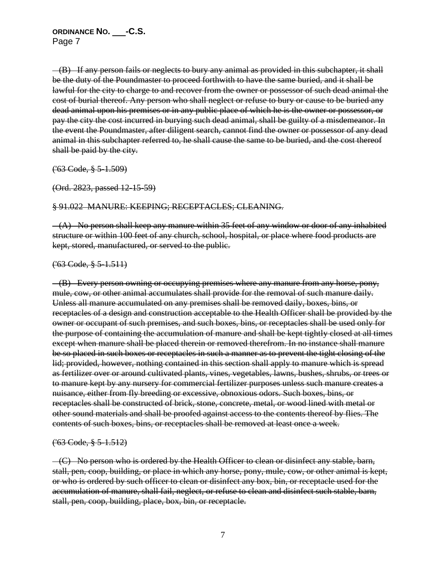(B) If any person fails or neglects to bury any animal as provided in this subchapter, it shall be the duty of the Poundmaster to proceed forthwith to have the same buried, and it shall be lawful for the city to charge to and recover from the owner or possessor of such dead animal the cost of burial thereof. Any person who shall neglect or refuse to bury or cause to be buried any dead animal upon his premises or in any public place of which he is the owner or possessor, or pay the city the cost incurred in burying such dead animal, shall be guilty of a misdemeanor. In the event the Poundmaster, after diligent search, cannot find the owner or possessor of any dead animal in this subchapter referred to, he shall cause the same to be buried, and the cost thereof shall be paid by the city.

('63 Code, § 5-1.509)

(Ord. 2823, passed 12-15-59)

#### § 91.022 MANURE: KEEPING; RECEPTACLES; CLEANING.

 (A) No person shall keep any manure within 35 feet of any window or door of any inhabited structure or within 100 feet of any church, school, hospital, or place where food products are kept, stored, manufactured, or served to the public.

#### $(63 \text{ Code}, \frac{8}{3} \text{ 5} - 1.511)$

 (B) Every person owning or occupying premises where any manure from any horse, pony, mule, cow, or other animal accumulates shall provide for the removal of such manure daily. Unless all manure accumulated on any premises shall be removed daily, boxes, bins, or receptacles of a design and construction acceptable to the Health Officer shall be provided by the owner or occupant of such premises, and such boxes, bins, or receptacles shall be used only for the purpose of containing the accumulation of manure and shall be kept tightly closed at all times except when manure shall be placed therein or removed therefrom. In no instance shall manure be so placed in such boxes or receptacles in such a manner as to prevent the tight closing of the lid; provided, however, nothing contained in this section shall apply to manure which is spread as fertilizer over or around cultivated plants, vines, vegetables, lawns, bushes, shrubs, or trees or to manure kept by any nursery for commercial fertilizer purposes unless such manure creates a nuisance, either from fly breeding or excessive, obnoxious odors. Such boxes, bins, or receptacles shall be constructed of brick, stone, concrete, metal, or wood lined with metal or other sound materials and shall be proofed against access to the contents thereof by flies. The contents of such boxes, bins, or receptacles shall be removed at least once a week.

### ('63 Code, § 5-1.512)

 $-(C)$  No person who is ordered by the Health Officer to clean or disinfect any stable, barn, stall, pen, coop, building, or place in which any horse, pony, mule, cow, or other animal is kept, or who is ordered by such officer to clean or disinfect any box, bin, or receptacle used for the accumulation of manure, shall fail, neglect, or refuse to clean and disinfect such stable, barn, stall, pen, coop, building, place, box, bin, or receptacle.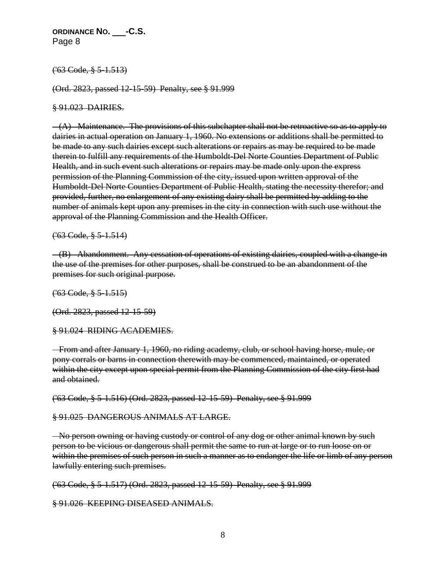### ('63 Code, § 5-1.513)

(Ord. 2823, passed 12-15-59) Penalty, see § 91.999

#### § 91.023 DAIRIES.

 $-(A)$  Maintenance. The provisions of this subchapter shall not be retroactive so as to apply to dairies in actual operation on January 1, 1960. No extensions or additions shall be permitted to be made to any such dairies except such alterations or repairs as may be required to be made therein to fulfill any requirements of the Humboldt-Del Norte Counties Department of Public Health, and in such event such alterations or repairs may be made only upon the express permission of the Planning Commission of the city, issued upon written approval of the Humboldt-Del Norte Counties Department of Public Health, stating the necessity therefor; and provided, further, no enlargement of any existing dairy shall be permitted by adding to the number of animals kept upon any premises in the city in connection with such use without the approval of the Planning Commission and the Health Officer.

('63 Code, § 5-1.514)

 (B) Abandonment. Any cessation of operations of existing dairies, coupled with a change in the use of the premises for other purposes, shall be construed to be an abandonment of the premises for such original purpose.

('63 Code, § 5-1.515)

(Ord. 2823, passed 12-15-59)

§ 91.024 RIDING ACADEMIES.

 From and after January 1, 1960, no riding academy, club, or school having horse, mule, or pony corrals or barns in connection therewith may be commenced, maintained, or operated within the city except upon special permit from the Planning Commission of the city first had and obtained.

('63 Code, § 5-1.516) (Ord. 2823, passed 12-15-59) Penalty, see § 91.999

### § 91.025 DANGEROUS ANIMALS AT LARGE.

- No person owning or having custody or control of any dog or other animal known by such person to be vicious or dangerous shall permit the same to run at large or to run loose on or within the premises of such person in such a manner as to endanger the life or limb of any person lawfully entering such premises.

('63 Code, § 5-1.517) (Ord. 2823, passed 12-15-59) Penalty, see § 91.999

§ 91.026 KEEPING DISEASED ANIMALS.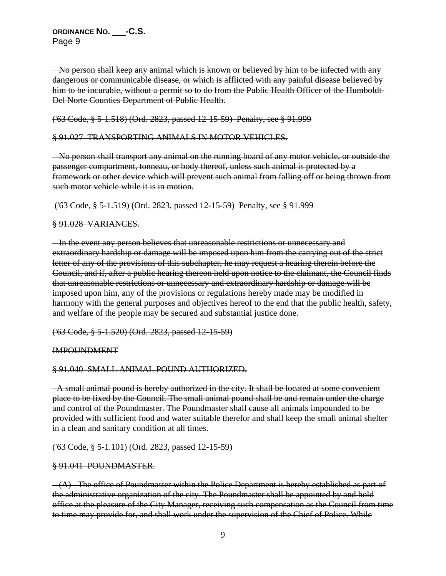No person shall keep any animal which is known or believed by him to be infected with any dangerous or communicable disease, or which is afflicted with any painful disease believed by him to be incurable, without a permit so to do from the Public Health Officer of the Humboldt-Del Norte Counties Department of Public Health.

('63 Code, § 5-1.518) (Ord. 2823, passed 12-15-59) Penalty, see § 91.999

### § 91.027 TRANSPORTING ANIMALS IN MOTOR VEHICLES.

 No person shall transport any animal on the running board of any motor vehicle, or outside the passenger compartment, tonneau, or body thereof, unless such animal is protected by a framework or other device which will prevent such animal from falling off or being thrown from such motor vehicle while it is in motion.

('63 Code, § 5-1.519) (Ord. 2823, passed 12-15-59) Penalty, see § 91.999

### § 91.028 VARIANCES.

 In the event any person believes that unreasonable restrictions or unnecessary and extraordinary hardship or damage will be imposed upon him from the carrying out of the strict letter of any of the provisions of this subchapter, he may request a hearing therein before the Council, and if, after a public hearing thereon held upon notice to the claimant, the Council finds that unreasonable restrictions or unnecessary and extraordinary hardship or damage will be imposed upon him, any of the provisions or regulations hereby made may be modified in harmony with the general purposes and objectives hereof to the end that the public health, safety, and welfare of the people may be secured and substantial justice done.

('63 Code, § 5-1.520) (Ord. 2823, passed 12-15-59)

IMPOUNDMENT

### § 91.040 SMALL ANIMAL POUND AUTHORIZED.

 A small animal pound is hereby authorized in the city. It shall be located at some convenient place to be fixed by the Council. The small animal pound shall be and remain under the charge and control of the Poundmaster. The Poundmaster shall cause all animals impounded to be provided with sufficient food and water suitable therefor and shall keep the small animal shelter in a clean and sanitary condition at all times.

### ('63 Code, § 5-1.101) (Ord. 2823, passed 12-15-59)

### § 91.041 POUNDMASTER.

 $-(A)$  The office of Poundmaster within the Police Department is hereby established as part of the administrative organization of the city. The Poundmaster shall be appointed by and hold office at the pleasure of the City Manager, receiving such compensation as the Council from time to time may provide for, and shall work under the supervision of the Chief of Police. While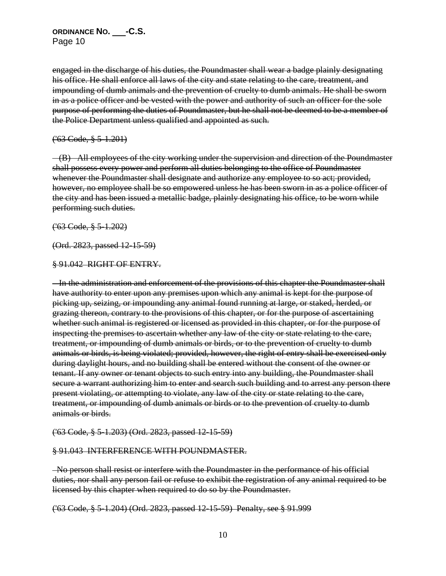engaged in the discharge of his duties, the Poundmaster shall wear a badge plainly designating his office. He shall enforce all laws of the city and state relating to the care, treatment, and impounding of dumb animals and the prevention of cruelty to dumb animals. He shall be sworn in as a police officer and be vested with the power and authority of such an officer for the sole purpose of performing the duties of Poundmaster, but he shall not be deemed to be a member of the Police Department unless qualified and appointed as such.

#### ('63 Code, § 5-1.201)

 (B) All employees of the city working under the supervision and direction of the Poundmaster shall possess every power and perform all duties belonging to the office of Poundmaster whenever the Poundmaster shall designate and authorize any employee to so act; provided, however, no employee shall be so empowered unless he has been sworn in as a police officer of the city and has been issued a metallic badge, plainly designating his office, to be worn while performing such duties.

('63 Code, § 5-1.202)

(Ord. 2823, passed 12-15-59)

#### § 91.042 RIGHT OF ENTRY.

 In the administration and enforcement of the provisions of this chapter the Poundmaster shall have authority to enter upon any premises upon which any animal is kept for the purpose of picking up, seizing, or impounding any animal found running at large, or staked, herded, or grazing thereon, contrary to the provisions of this chapter, or for the purpose of ascertaining whether such animal is registered or licensed as provided in this chapter, or for the purpose of inspecting the premises to ascertain whether any law of the city or state relating to the care, treatment, or impounding of dumb animals or birds, or to the prevention of cruelty to dumb animals or birds, is being violated; provided, however, the right of entry shall be exercised only during daylight hours, and no building shall be entered without the consent of the owner or tenant. If any owner or tenant objects to such entry into any building, the Poundmaster shall secure a warrant authorizing him to enter and search such building and to arrest any person there present violating, or attempting to violate, any law of the city or state relating to the care, treatment, or impounding of dumb animals or birds or to the prevention of cruelty to dumb animals or birds.

('63 Code, § 5-1.203) (Ord. 2823, passed 12-15-59)

#### § 91.043 INTERFERENCE WITH POUNDMASTER.

 No person shall resist or interfere with the Poundmaster in the performance of his official duties, nor shall any person fail or refuse to exhibit the registration of any animal required to be licensed by this chapter when required to do so by the Poundmaster.

('63 Code, § 5-1.204) (Ord. 2823, passed 12-15-59) Penalty, see § 91.999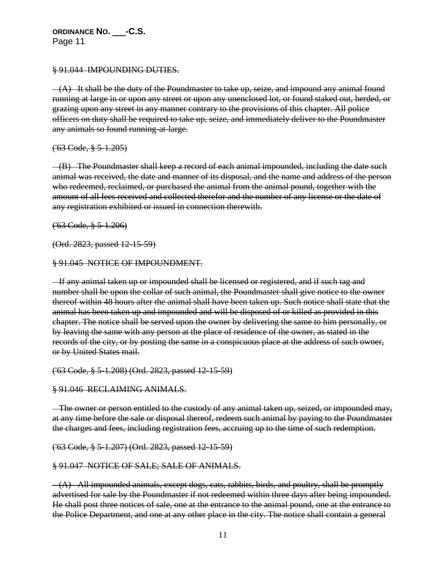§ 91.044 IMPOUNDING DUTIES.

 $-(A)$  It shall be the duty of the Poundmaster to take up, seize, and impound any animal found running at large in or upon any street or upon any unenclosed lot, or found staked out, herded, or grazing upon any street in any manner contrary to the provisions of this chapter. All police officers on duty shall be required to take up, seize, and immediately deliver to the Poundmaster any animals so found running-at-large.

('63 Code, § 5-1.205)

 (B) The Poundmaster shall keep a record of each animal impounded, including the date such animal was received, the date and manner of its disposal, and the name and address of the person who redeemed, reclaimed, or purchased the animal from the animal pound, together with the amount of all fees received and collected therefor and the number of any license or the date of any registration exhibited or issued in connection therewith.

('63 Code, § 5-1.206)

(Ord. 2823, passed 12-15-59)

§ 91.045 NOTICE OF IMPOUNDMENT.

 If any animal taken up or impounded shall be licensed or registered, and if such tag and number shall be upon the collar of such animal, the Poundmaster shall give notice to the owner thereof within 48 hours after the animal shall have been taken up. Such notice shall state that the animal has been taken up and impounded and will be disposed of or killed as provided in this chapter. The notice shall be served upon the owner by delivering the same to him personally, or by leaving the same with any person at the place of residence of the owner, as stated in the records of the city, or by posting the same in a conspicuous place at the address of such owner, or by United States mail.

('63 Code, § 5-1.208) (Ord. 2823, passed 12-15-59)

§ 91.046 RECLAIMING ANIMALS.

 The owner or person entitled to the custody of any animal taken up, seized, or impounded may, at any time before the sale or disposal thereof, redeem such animal by paying to the Poundmaster the charges and fees, including registration fees, accruing up to the time of such redemption.

('63 Code, § 5-1.207) (Ord. 2823, passed 12-15-59)

### § 91.047 NOTICE OF SALE; SALE OF ANIMALS.

 $-(A)$  All impounded animals, except dogs, cats, rabbits, birds, and poultry, shall be promptly advertised for sale by the Poundmaster if not redeemed within three days after being impounded. He shall post three notices of sale, one at the entrance to the animal pound, one at the entrance to the Police Department, and one at any other place in the city. The notice shall contain a general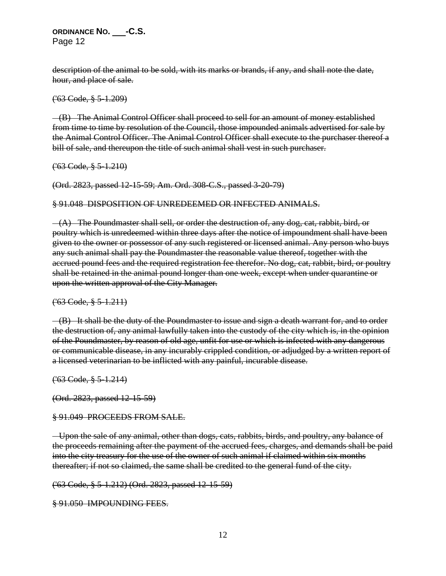description of the animal to be sold, with its marks or brands, if any, and shall note the date, hour, and place of sale.

('63 Code, § 5-1.209)

 (B) The Animal Control Officer shall proceed to sell for an amount of money established from time to time by resolution of the Council, those impounded animals advertised for sale by the Animal Control Officer. The Animal Control Officer shall execute to the purchaser thereof a bill of sale, and thereupon the title of such animal shall vest in such purchaser.

('63 Code, § 5-1.210)

(Ord. 2823, passed 12-15-59; Am. Ord. 308-C.S., passed 3-20-79)

§ 91.048 DISPOSITION OF UNREDEEMED OR INFECTED ANIMALS.

 $-(A)$  The Poundmaster shall sell, or order the destruction of, any dog, cat, rabbit, bird, or poultry which is unredeemed within three days after the notice of impoundment shall have been given to the owner or possessor of any such registered or licensed animal. Any person who buys any such animal shall pay the Poundmaster the reasonable value thereof, together with the accrued pound fees and the required registration fee therefor. No dog, cat, rabbit, bird, or poultry shall be retained in the animal pound longer than one week, except when under quarantine or upon the written approval of the City Manager.

('63 Code, § 5-1.211)

 (B) It shall be the duty of the Poundmaster to issue and sign a death warrant for, and to order the destruction of, any animal lawfully taken into the custody of the city which is, in the opinion of the Poundmaster, by reason of old age, unfit for use or which is infected with any dangerous or communicable disease, in any incurably crippled condition, or adjudged by a written report of a licensed veterinarian to be inflicted with any painful, incurable disease.

('63 Code, § 5-1.214)

(Ord. 2823, passed 12-15-59)

§ 91.049 PROCEEDS FROM SALE.

 Upon the sale of any animal, other than dogs, cats, rabbits, birds, and poultry, any balance of the proceeds remaining after the payment of the accrued fees, charges, and demands shall be paid into the city treasury for the use of the owner of such animal if claimed within six months thereafter; if not so claimed, the same shall be credited to the general fund of the city.

('63 Code, § 5-1.212) (Ord. 2823, passed 12-15-59)

§ 91.050 IMPOUNDING FEES.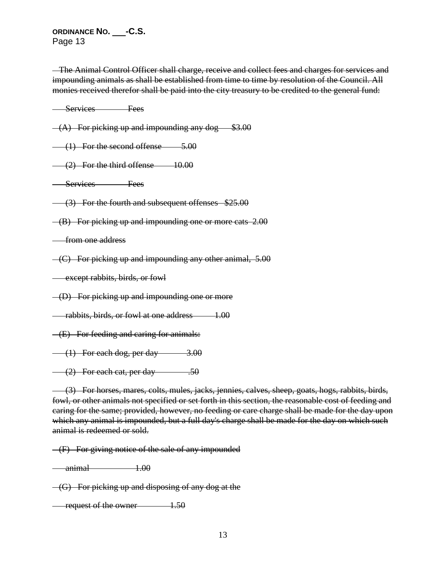The Animal Control Officer shall charge, receive and collect fees and charges for services and impounding animals as shall be established from time to time by resolution of the Council. All monies received therefor shall be paid into the city treasury to be credited to the general fund:

Services Fees

 $-(A)$  For picking up and impounding any dog  $$3.00$ 

 $(1)$  For the second offense  $5.00$ 

 $(2)$  For the third offense  $10.00$ 

Services Fees

(3) For the fourth and subsequent offenses \$25.00

(B) For picking up and impounding one or more cats 2.00

from one address

 $-(C)$  For picking up and impounding any other animal, 5.00

**except rabbits, birds, or fowl** 

 $-(D)$  For picking up and impounding one or more

rabbits, birds, or fowl at one address 1.00

(E) For feeding and caring for animals:

 $(1)$  For each dog, per day  $3.00$ 

 $(2)$  For each cat, per day  $.50$ 

 (3) For horses, mares, colts, mules, jacks, jennies, calves, sheep, goats, hogs, rabbits, birds, fowl, or other animals not specified or set forth in this section, the reasonable cost of feeding and caring for the same; provided, however, no feeding or care charge shall be made for the day upon which any animal is impounded, but a full day's charge shall be made for the day on which such animal is redeemed or sold.

 $-F$ ) For giving notice of the sale of any impounded

 $\frac{1.00}{1.00}$ 

 $-(G)$  For picking up and disposing of any dog at the

request of the owner 1.50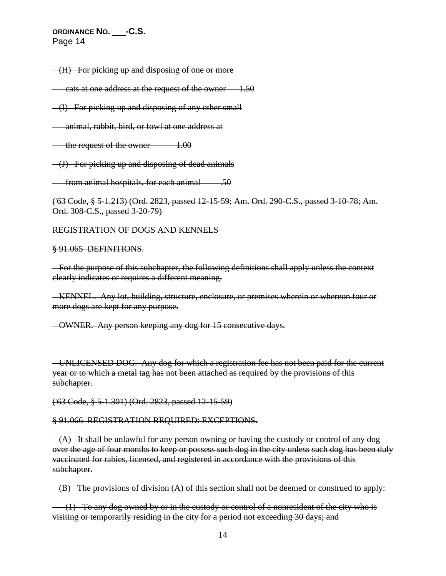(H) For picking up and disposing of one or more

cats at one address at the request of the owner 1.50

(I) For picking up and disposing of any other small

animal, rabbit, bird, or fowl at one address at

the request of the owner 1.00

(J) For picking up and disposing of dead animals

from animal hospitals, for each animal  $\sim$  .50

('63 Code, § 5-1.213) (Ord. 2823, passed 12-15-59; Am. Ord. 290-C.S., passed 3-10-78; Am. Ord. 308-C.S., passed 3-20-79)

REGISTRATION OF DOGS AND KENNELS

§ 91.065 DEFINITIONS.

 For the purpose of this subchapter, the following definitions shall apply unless the context clearly indicates or requires a different meaning.

 KENNEL. Any lot, building, structure, enclosure, or premises wherein or whereon four or more dogs are kept for any purpose.

OWNER. Any person keeping any dog for 15 consecutive days.

 UNLICENSED DOG. Any dog for which a registration fee has not been paid for the current year or to which a metal tag has not been attached as required by the provisions of this subchapter.

('63 Code, § 5-1.301) (Ord. 2823, passed 12-15-59)

#### § 91.066 REGISTRATION REQUIRED: EXCEPTIONS.

 $-(A)$  It shall be unlawful for any person owning or having the custody or control of any dog over the age of four months to keep or possess such dog in the city unless such dog has been duly vaccinated for rabies, licensed, and registered in accordance with the provisions of this subchapter.

 $-(B)$  The provisions of division  $(A)$  of this section shall not be deemed or construed to apply:

 $(1)$  To any dog owned by or in the custody or control of a nonresident of the city who is visiting or temporarily residing in the city for a period not exceeding 30 days; and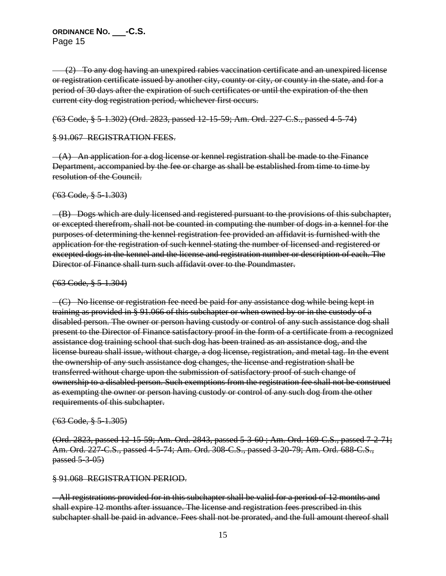(2) To any dog having an unexpired rabies vaccination certificate and an unexpired license or registration certificate issued by another city, county or city, or county in the state, and for a period of 30 days after the expiration of such certificates or until the expiration of the then current city dog registration period, whichever first occurs.

('63 Code, § 5-1.302) (Ord. 2823, passed 12-15-59; Am. Ord. 227-C.S., passed 4-5-74)

### § 91.067 REGISTRATION FEES.

 $-(A)$  An application for a dog license or kennel registration shall be made to the Finance Department, accompanied by the fee or charge as shall be established from time to time by resolution of the Council.

('63 Code, § 5-1.303)

 (B) Dogs which are duly licensed and registered pursuant to the provisions of this subchapter, or excepted therefrom, shall not be counted in computing the number of dogs in a kennel for the purposes of determining the kennel registration fee provided an affidavit is furnished with the application for the registration of such kennel stating the number of licensed and registered or excepted dogs in the kennel and the license and registration number or description of each. The Director of Finance shall turn such affidavit over to the Poundmaster.

### ('63 Code, § 5-1.304)

 $-(C)$  No license or registration fee need be paid for any assistance dog while being kept in training as provided in § 91.066 of this subchapter or when owned by or in the custody of a disabled person. The owner or person having custody or control of any such assistance dog shall present to the Director of Finance satisfactory proof in the form of a certificate from a recognized assistance dog training school that such dog has been trained as an assistance dog, and the license bureau shall issue, without charge, a dog license, registration, and metal tag. In the event the ownership of any such assistance dog changes, the license and registration shall be transferred without charge upon the submission of satisfactory proof of such change of ownership to a disabled person. Such exemptions from the registration fee shall not be construed as exempting the owner or person having custody or control of any such dog from the other requirements of this subchapter.

### ('63 Code, § 5-1.305)

(Ord. 2823, passed 12-15-59; Am. Ord. 2843, passed 5-3-60 ; Am. Ord. 169-C.S., passed 7-2-71; Am. Ord. 227-C.S., passed 4-5-74; Am. Ord. 308-C.S., passed 3-20-79; Am. Ord. 688-C.S., passed 5-3-05)

### § 91.068 REGISTRATION PERIOD.

 All registrations provided for in this subchapter shall be valid for a period of 12 months and shall expire 12 months after issuance. The license and registration fees prescribed in this subchapter shall be paid in advance. Fees shall not be prorated, and the full amount thereof shall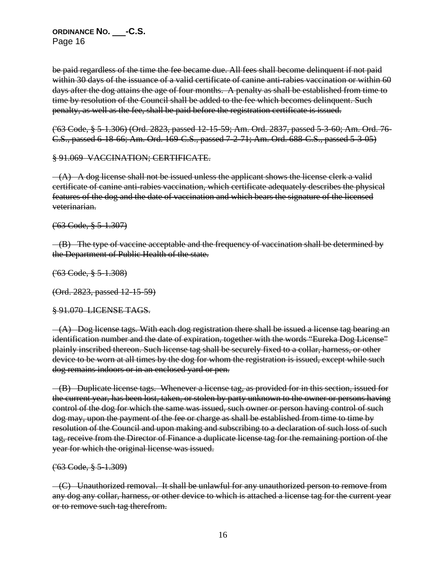be paid regardless of the time the fee became due. All fees shall become delinquent if not paid within 30 days of the issuance of a valid certificate of canine anti-rabies vaccination or within 60 days after the dog attains the age of four months. A penalty as shall be established from time to time by resolution of the Council shall be added to the fee which becomes delinquent. Such penalty, as well as the fee, shall be paid before the registration certificate is issued.

('63 Code, § 5-1.306) (Ord. 2823, passed 12-15-59; Am. Ord. 2837, passed 5-3-60; Am. Ord. 76- C.S., passed 6-18-66; Am. Ord. 169-C.S., passed 7-2-71; Am. Ord. 688-C.S., passed 5-3-05)

§ 91.069 VACCINATION; CERTIFICATE.

 $-(A)$  A dog license shall not be issued unless the applicant shows the license clerk a valid certificate of canine anti-rabies vaccination, which certificate adequately describes the physical features of the dog and the date of vaccination and which bears the signature of the licensed veterinarian.

('63 Code, § 5-1.307)

 (B) The type of vaccine acceptable and the frequency of vaccination shall be determined by the Department of Public Health of the state.

('63 Code, § 5-1.308)

(Ord. 2823, passed 12-15-59)

§ 91.070 LICENSE TAGS.

 $-(A)$  Dog license tags. With each dog registration there shall be issued a license tag bearing an identification number and the date of expiration, together with the words "Eureka Dog License" plainly inscribed thereon. Such license tag shall be securely fixed to a collar, harness, or other device to be worn at all times by the dog for whom the registration is issued, except while such dog remains indoors or in an enclosed yard or pen.

 (B) Duplicate license tags. Whenever a license tag, as provided for in this section, issued for the current year, has been lost, taken, or stolen by party unknown to the owner or persons having control of the dog for which the same was issued, such owner or person having control of such dog may, upon the payment of the fee or charge as shall be established from time to time by resolution of the Council and upon making and subscribing to a declaration of such loss of such tag, receive from the Director of Finance a duplicate license tag for the remaining portion of the year for which the original license was issued.

('63 Code, § 5-1.309)

 $-(C)$  Unauthorized removal. It shall be unlawful for any unauthorized person to remove from any dog any collar, harness, or other device to which is attached a license tag for the current year or to remove such tag therefrom.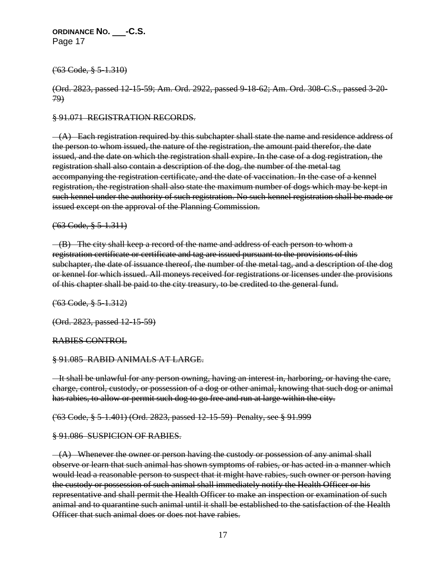('63 Code, § 5-1.310)

(Ord. 2823, passed 12-15-59; Am. Ord. 2922, passed 9-18-62; Am. Ord. 308-C.S., passed 3-20- 79)

§ 91.071 REGISTRATION RECORDS.

 $-(A)$  Each registration required by this subchapter shall state the name and residence address of the person to whom issued, the nature of the registration, the amount paid therefor, the date issued, and the date on which the registration shall expire. In the case of a dog registration, the registration shall also contain a description of the dog, the number of the metal tag accompanying the registration certificate, and the date of vaccination. In the case of a kennel registration, the registration shall also state the maximum number of dogs which may be kept in such kennel under the authority of such registration. No such kennel registration shall be made or issued except on the approval of the Planning Commission.

### ('63 Code, § 5-1.311)

 (B) The city shall keep a record of the name and address of each person to whom a registration certificate or certificate and tag are issued pursuant to the provisions of this subchapter, the date of issuance thereof, the number of the metal tag, and a description of the dog or kennel for which issued. All moneys received for registrations or licenses under the provisions of this chapter shall be paid to the city treasury, to be credited to the general fund.

('63 Code, § 5-1.312)

(Ord. 2823, passed 12-15-59)

RABIES CONTROL

§ 91.085 RABID ANIMALS AT LARGE.

 It shall be unlawful for any person owning, having an interest in, harboring, or having the care, charge, control, custody, or possession of a dog or other animal, knowing that such dog or animal has rabies, to allow or permit such dog to go free and run at large within the city.

('63 Code, § 5-1.401) (Ord. 2823, passed 12-15-59) Penalty, see § 91.999

§ 91.086 SUSPICION OF RABIES.

 $-(A)$  Whenever the owner or person having the custody or possession of any animal shall observe or learn that such animal has shown symptoms of rabies, or has acted in a manner which would lead a reasonable person to suspect that it might have rabies, such owner or person having the custody or possession of such animal shall immediately notify the Health Officer or his representative and shall permit the Health Officer to make an inspection or examination of such animal and to quarantine such animal until it shall be established to the satisfaction of the Health Officer that such animal does or does not have rabies.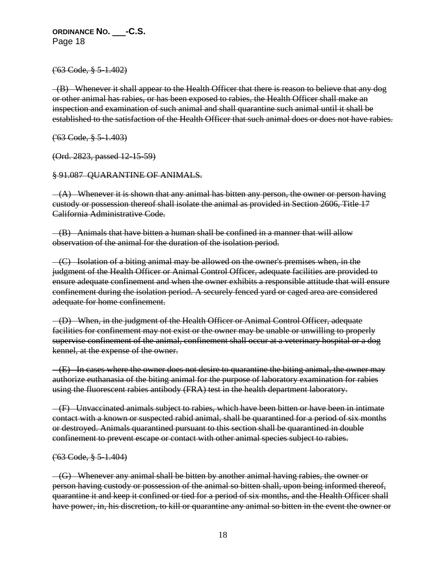('63 Code, § 5-1.402)

 $-(B)$  Whenever it shall appear to the Health Officer that there is reason to believe that any dog or other animal has rabies, or has been exposed to rabies, the Health Officer shall make an inspection and examination of such animal and shall quarantine such animal until it shall be established to the satisfaction of the Health Officer that such animal does or does not have rabies.

('63 Code, § 5-1.403)

(Ord. 2823, passed 12-15-59)

§ 91.087 QUARANTINE OF ANIMALS.

 $-(A)$  Whenever it is shown that any animal has bitten any person, the owner or person having custody or possession thereof shall isolate the animal as provided in Section 2606, Title 17 California Administrative Code.

 (B) Animals that have bitten a human shall be confined in a manner that will allow observation of the animal for the duration of the isolation period.

 (C) Isolation of a biting animal may be allowed on the owner's premises when, in the judgment of the Health Officer or Animal Control Officer, adequate facilities are provided to ensure adequate confinement and when the owner exhibits a responsible attitude that will ensure confinement during the isolation period. A securely fenced yard or caged area are considered adequate for home confinement.

 (D) When, in the judgment of the Health Officer or Animal Control Officer, adequate facilities for confinement may not exist or the owner may be unable or unwilling to properly supervise confinement of the animal, confinement shall occur at a veterinary hospital or a dog kennel, at the expense of the owner.

 $-(E)$  In cases where the owner does not desire to quarantine the biting animal, the owner may authorize euthanasia of the biting animal for the purpose of laboratory examination for rabies using the fluorescent rabies antibody (FRA) test in the health department laboratory.

 (F) Unvaccinated animals subject to rabies, which have been bitten or have been in intimate contact with a known or suspected rabid animal, shall be quarantined for a period of six months or destroyed. Animals quarantined pursuant to this section shall be quarantined in double confinement to prevent escape or contact with other animal species subject to rabies.

#### ('63 Code, § 5-1.404)

 $-(G)$  Whenever any animal shall be bitten by another animal having rabies, the owner or person having custody or possession of the animal so bitten shall, upon being informed thereof, quarantine it and keep it confined or tied for a period of six months, and the Health Officer shall have power, in, his discretion, to kill or quarantine any animal so bitten in the event the owner or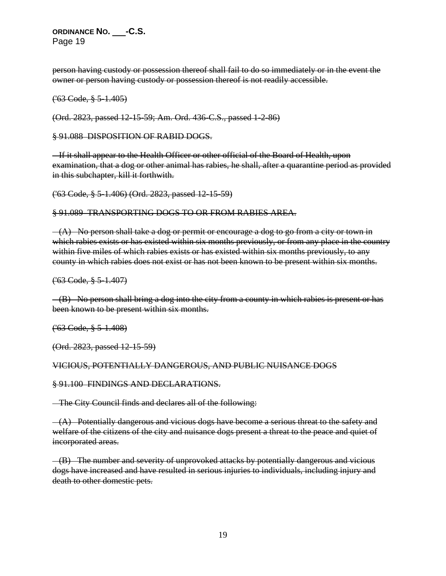person having custody or possession thereof shall fail to do so immediately or in the event the owner or person having custody or possession thereof is not readily accessible.

('63 Code, § 5-1.405)

(Ord. 2823, passed 12-15-59; Am. Ord. 436-C.S., passed 1-2-86)

§ 91.088 DISPOSITION OF RABID DOGS.

 If it shall appear to the Health Officer or other official of the Board of Health, upon examination, that a dog or other animal has rabies, he shall, after a quarantine period as provided in this subchapter, kill it forthwith.

('63 Code, § 5-1.406) (Ord. 2823, passed 12-15-59)

§ 91.089 TRANSPORTING DOGS TO OR FROM RABIES AREA.

 $-(A)$  No person shall take a dog or permit or encourage a dog to go from a city or town in which rabies exists or has existed within six months previously, or from any place in the country within five miles of which rabies exists or has existed within six months previously, to any county in which rabies does not exist or has not been known to be present within six months.

('63 Code, § 5-1.407)

 (B) No person shall bring a dog into the city from a county in which rabies is present or has been known to be present within six months.

('63 Code, § 5-1.408)

(Ord. 2823, passed 12-15-59)

#### VICIOUS, POTENTIALLY DANGEROUS, AND PUBLIC NUISANCE DOGS

§ 91.100 FINDINGS AND DECLARATIONS.

The City Council finds and declares all of the following:

 $-(A)$  Potentially dangerous and vicious dogs have become a serious threat to the safety and welfare of the citizens of the city and nuisance dogs present a threat to the peace and quiet of incorporated areas.

 (B) The number and severity of unprovoked attacks by potentially dangerous and vicious dogs have increased and have resulted in serious injuries to individuals, including injury and death to other domestic pets.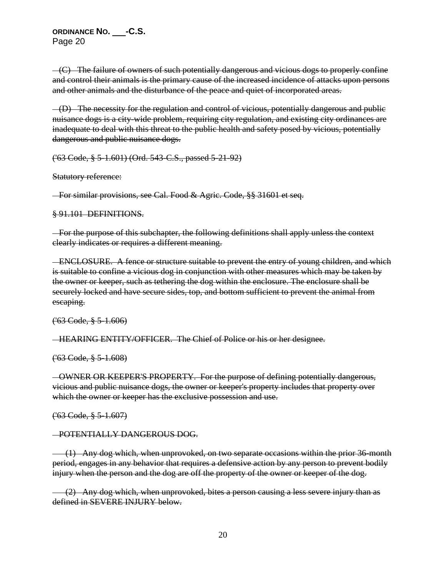$-(C)$  The failure of owners of such potentially dangerous and vicious dogs to properly confine and control their animals is the primary cause of the increased incidence of attacks upon persons and other animals and the disturbance of the peace and quiet of incorporated areas.

 (D) The necessity for the regulation and control of vicious, potentially dangerous and public nuisance dogs is a city-wide problem, requiring city regulation, and existing city ordinances are inadequate to deal with this threat to the public health and safety posed by vicious, potentially dangerous and public nuisance dogs.

('63 Code, § 5-1.601) (Ord. 543-C.S., passed 5-21-92)

Statutory reference:

For similar provisions, see Cal. Food & Agric. Code, §§ 31601 et seq.

§ 91.101 DEFINITIONS.

 For the purpose of this subchapter, the following definitions shall apply unless the context clearly indicates or requires a different meaning.

 ENCLOSURE. A fence or structure suitable to prevent the entry of young children, and which is suitable to confine a vicious dog in conjunction with other measures which may be taken by the owner or keeper, such as tethering the dog within the enclosure. The enclosure shall be securely locked and have secure sides, top, and bottom sufficient to prevent the animal from escaping.

('63 Code, § 5-1.606)

HEARING ENTITY/OFFICER. The Chief of Police or his or her designee.

 $(^{63}$  Code,  $\frac{8}{9}$  5 -1.608)

 OWNER OR KEEPER'S PROPERTY. For the purpose of defining potentially dangerous, vicious and public nuisance dogs, the owner or keeper's property includes that property over which the owner or keeper has the exclusive possession and use.

('63 Code, § 5-1.607)

## POTENTIALLY DANGEROUS DOG.

 (1) Any dog which, when unprovoked, on two separate occasions within the prior 36-month period, engages in any behavior that requires a defensive action by any person to prevent bodily injury when the person and the dog are off the property of the owner or keeper of the dog.

 (2) Any dog which, when unprovoked, bites a person causing a less severe injury than as defined in SEVERE INJURY below.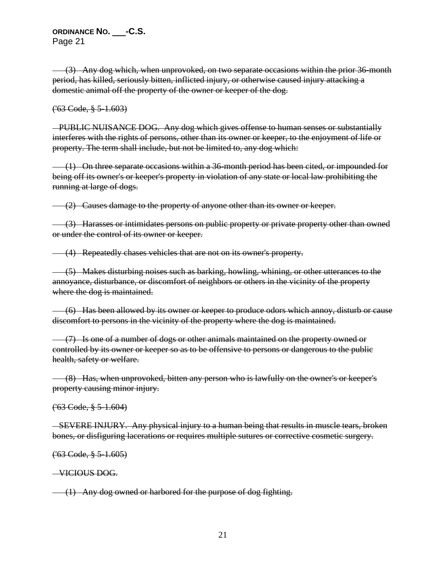(3) Any dog which, when unprovoked, on two separate occasions within the prior 36-month period, has killed, seriously bitten, inflicted injury, or otherwise caused injury attacking a domestic animal off the property of the owner or keeper of the dog.

('63 Code, § 5-1.603)

 PUBLIC NUISANCE DOG. Any dog which gives offense to human senses or substantially interferes with the rights of persons, other than its owner or keeper, to the enjoyment of life or property. The term shall include, but not be limited to, any dog which:

 (1) On three separate occasions within a 36-month period has been cited, or impounded for being off its owner's or keeper's property in violation of any state or local law prohibiting the running at large of dogs.

(2) Causes damage to the property of anyone other than its owner or keeper.

 (3) Harasses or intimidates persons on public property or private property other than owned or under the control of its owner or keeper.

(4) Repeatedly chases vehicles that are not on its owner's property.

 (5) Makes disturbing noises such as barking, howling, whining, or other utterances to the annoyance, disturbance, or discomfort of neighbors or others in the vicinity of the property where the dog is maintained.

 (6) Has been allowed by its owner or keeper to produce odors which annoy, disturb or cause discomfort to persons in the vicinity of the property where the dog is maintained.

 (7) Is one of a number of dogs or other animals maintained on the property owned or controlled by its owner or keeper so as to be offensive to persons or dangerous to the public health, safety or welfare.

 (8) Has, when unprovoked, bitten any person who is lawfully on the owner's or keeper's property causing minor injury.

('63 Code, § 5-1.604)

 SEVERE INJURY. Any physical injury to a human being that results in muscle tears, broken bones, or disfiguring lacerations or requires multiple sutures or corrective cosmetic surgery.

('63 Code, § 5-1.605)

VICIOUS DOG.

(1) Any dog owned or harbored for the purpose of dog fighting.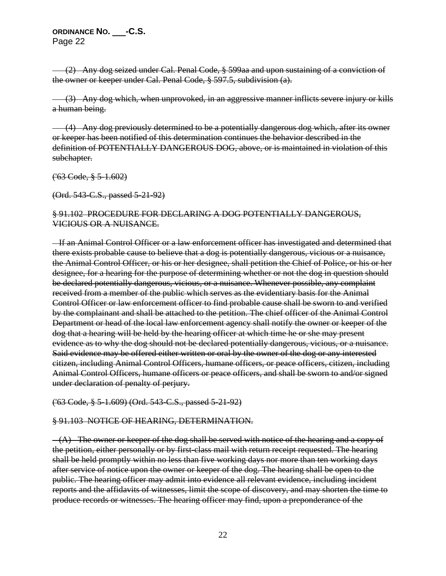(2) Any dog seized under Cal. Penal Code, § 599aa and upon sustaining of a conviction of the owner or keeper under Cal. Penal Code, § 597.5, subdivision (a).

 (3) Any dog which, when unprovoked, in an aggressive manner inflicts severe injury or kills a human being.

 (4) Any dog previously determined to be a potentially dangerous dog which, after its owner or keeper has been notified of this determination continues the behavior described in the definition of POTENTIALLY DANGEROUS DOG, above, or is maintained in violation of this subchapter.

('63 Code, § 5-1.602)

(Ord. 543-C.S., passed 5-21-92)

## § 91.102 PROCEDURE FOR DECLARING A DOG POTENTIALLY DANGEROUS, VICIOUS OR A NUISANCE.

 If an Animal Control Officer or a law enforcement officer has investigated and determined that there exists probable cause to believe that a dog is potentially dangerous, vicious or a nuisance, the Animal Control Officer, or his or her designee, shall petition the Chief of Police, or his or her designee, for a hearing for the purpose of determining whether or not the dog in question should be declared potentially dangerous, vicious, or a nuisance. Whenever possible, any complaint received from a member of the public which serves as the evidentiary basis for the Animal Control Officer or law enforcement officer to find probable cause shall be sworn to and verified by the complainant and shall be attached to the petition. The chief officer of the Animal Control Department or head of the local law enforcement agency shall notify the owner or keeper of the dog that a hearing will be held by the hearing officer at which time he or she may present evidence as to why the dog should not be declared potentially dangerous, vicious, or a nuisance. Said evidence may be offered either written or oral by the owner of the dog or any interested citizen, including Animal Control Officers, humane officers, or peace officers, citizen, including Animal Control Officers, humane officers or peace officers, and shall be sworn to and/or signed under declaration of penalty of perjury.

### ('63 Code, § 5-1.609) (Ord. 543-C.S., passed 5-21-92)

## § 91.103 NOTICE OF HEARING, DETERMINATION.

 $-(A)$  The owner or keeper of the dog shall be served with notice of the hearing and a copy of the petition, either personally or by first-class mail with return receipt requested. The hearing shall be held promptly within no less than five working days nor more than ten working days after service of notice upon the owner or keeper of the dog. The hearing shall be open to the public. The hearing officer may admit into evidence all relevant evidence, including incident reports and the affidavits of witnesses, limit the scope of discovery, and may shorten the time to produce records or witnesses. The hearing officer may find, upon a preponderance of the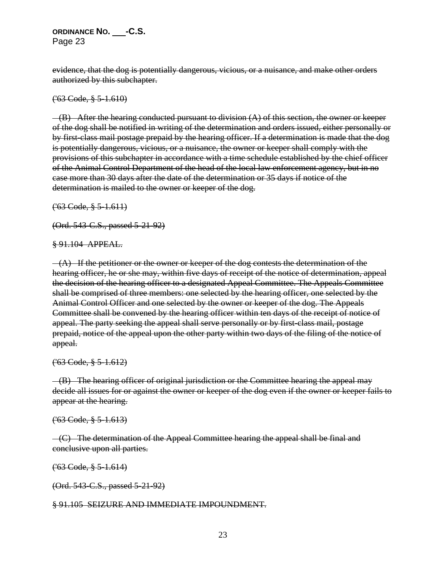evidence, that the dog is potentially dangerous, vicious, or a nuisance, and make other orders authorized by this subchapter.

('63 Code, § 5-1.610)

 $-(B)$  After the hearing conducted pursuant to division  $(A)$  of this section, the owner or keeper of the dog shall be notified in writing of the determination and orders issued, either personally or by first-class mail postage prepaid by the hearing officer. If a determination is made that the dog is potentially dangerous, vicious, or a nuisance, the owner or keeper shall comply with the provisions of this subchapter in accordance with a time schedule established by the chief officer of the Animal Control Department of the head of the local law enforcement agency, but in no case more than 30 days after the date of the determination or 35 days if notice of the determination is mailed to the owner or keeper of the dog.

 $(63 \text{ Code}, \frac{8}{9} \text{ 5-1.611})$ 

(Ord. 543-C.S., passed 5-21-92)

§ 91.104 APPEAL.

 $-(A)$  If the petitioner or the owner or keeper of the dog contests the determination of the hearing officer, he or she may, within five days of receipt of the notice of determination, appeal the decision of the hearing officer to a designated Appeal Committee. The Appeals Committee shall be comprised of three members: one selected by the hearing officer, one selected by the Animal Control Officer and one selected by the owner or keeper of the dog. The Appeals Committee shall be convened by the hearing officer within ten days of the receipt of notice of appeal. The party seeking the appeal shall serve personally or by first-class mail, postage prepaid, notice of the appeal upon the other party within two days of the filing of the notice of appeal.

('63 Code, § 5-1.612)

 $-(B)$  The hearing officer of original jurisdiction or the Committee hearing the appeal may decide all issues for or against the owner or keeper of the dog even if the owner or keeper fails to appear at the hearing.

('63 Code, § 5-1.613)

 $-(C)$  The determination of the Appeal Committee hearing the appeal shall be final and conclusive upon all parties.

('63 Code, § 5-1.614)

(Ord. 543-C.S., passed 5-21-92)

### § 91.105 SEIZURE AND IMMEDIATE IMPOUNDMENT.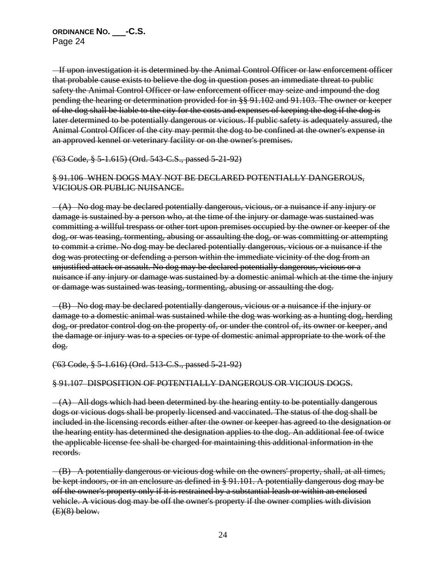If upon investigation it is determined by the Animal Control Officer or law enforcement officer that probable cause exists to believe the dog in question poses an immediate threat to public safety the Animal Control Officer or law enforcement officer may seize and impound the dog pending the hearing or determination provided for in §§ 91.102 and 91.103. The owner or keeper of the dog shall be liable to the city for the costs and expenses of keeping the dog if the dog is later determined to be potentially dangerous or vicious. If public safety is adequately assured, the Animal Control Officer of the city may permit the dog to be confined at the owner's expense in an approved kennel or veterinary facility or on the owner's premises.

### ('63 Code, § 5-1.615) (Ord. 543-C.S., passed 5-21-92)

# § 91.106 WHEN DOGS MAY NOT BE DECLARED POTENTIALLY DANGEROUS, VICIOUS OR PUBLIC NUISANCE.

 $-(A)$  No dog may be declared potentially dangerous, vicious, or a nuisance if any injury or damage is sustained by a person who, at the time of the injury or damage was sustained was committing a willful trespass or other tort upon premises occupied by the owner or keeper of the dog, or was teasing, tormenting, abusing or assaulting the dog, or was committing or attempting to commit a crime. No dog may be declared potentially dangerous, vicious or a nuisance if the dog was protecting or defending a person within the immediate vicinity of the dog from an unjustified attack or assault. No dog may be declared potentially dangerous, vicious or a nuisance if any injury or damage was sustained by a domestic animal which at the time the injury or damage was sustained was teasing, tormenting, abusing or assaulting the dog.

 (B) No dog may be declared potentially dangerous, vicious or a nuisance if the injury or damage to a domestic animal was sustained while the dog was working as a hunting dog, herding dog, or predator control dog on the property of, or under the control of, its owner or keeper, and the damage or injury was to a species or type of domestic animal appropriate to the work of the dog.

## ('63 Code, § 5-1.616) (Ord. 513-C.S., passed 5-21-92)

### § 91.107 DISPOSITION OF POTENTIALLY DANGEROUS OR VICIOUS DOGS.

 $-(A)$  All dogs which had been determined by the hearing entity to be potentially dangerous dogs or vicious dogs shall be properly licensed and vaccinated. The status of the dog shall be included in the licensing records either after the owner or keeper has agreed to the designation or the hearing entity has determined the designation applies to the dog. An additional fee of twice the applicable license fee shall be charged for maintaining this additional information in the records.

 (B) A potentially dangerous or vicious dog while on the owners' property, shall, at all times, be kept indoors, or in an enclosure as defined in § 91.101. A potentially dangerous dog may be off the owner's property only if it is restrained by a substantial leash or within an enclosed vehicle. A vicious dog may be off the owner's property if the owner complies with division  $(E)(8)$  below.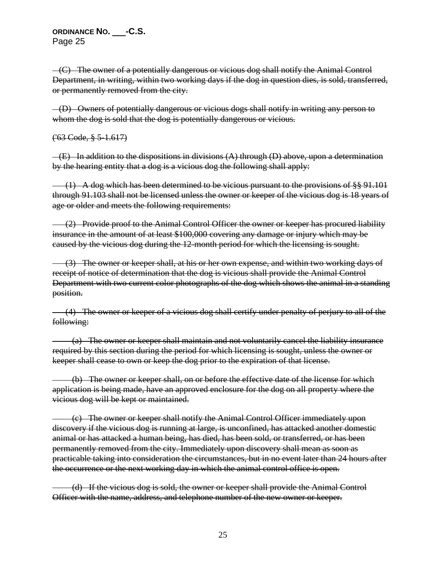$-(C)$  The owner of a potentially dangerous or vicious dog shall notify the Animal Control Department, in writing, within two working days if the dog in question dies, is sold, transferred, or permanently removed from the city.

 (D) Owners of potentially dangerous or vicious dogs shall notify in writing any person to whom the dog is sold that the dog is potentially dangerous or vicious.

 $(^{63}$  Code,  $\frac{8}{3}$  5-1.617)

 $-(E)$  In addition to the dispositions in divisions  $(A)$  through  $(D)$  above, upon a determination by the hearing entity that a dog is a vicious dog the following shall apply:

 $(1)$  A dog which has been determined to be vicious pursuant to the provisions of §§ 91.101 through 91.103 shall not be licensed unless the owner or keeper of the vicious dog is 18 years of age or older and meets the following requirements:

 (2) Provide proof to the Animal Control Officer the owner or keeper has procured liability insurance in the amount of at least \$100,000 covering any damage or injury which may be caused by the vicious dog during the 12-month period for which the licensing is sought.

 (3) The owner or keeper shall, at his or her own expense, and within two working days of receipt of notice of determination that the dog is vicious shall provide the Animal Control Department with two current color photographs of the dog which shows the animal in a standing position.

 (4) The owner or keeper of a vicious dog shall certify under penalty of perjury to all of the following:

 (a) The owner or keeper shall maintain and not voluntarily cancel the liability insurance required by this section during the period for which licensing is sought, unless the owner or keeper shall cease to own or keep the dog prior to the expiration of that license.

 (b) The owner or keeper shall, on or before the effective date of the license for which application is being made, have an approved enclosure for the dog on all property where the vicious dog will be kept or maintained.

 (c) The owner or keeper shall notify the Animal Control Officer immediately upon discovery if the vicious dog is running at large, is unconfined, has attacked another domestic animal or has attacked a human being, has died, has been sold, or transferred, or has been permanently removed from the city. Immediately upon discovery shall mean as soon as practicable taking into consideration the circumstances, but in no event later than 24 hours after the occurrence or the next working day in which the animal control office is open.

 (d) If the vicious dog is sold, the owner or keeper shall provide the Animal Control Officer with the name, address, and telephone number of the new owner or keeper.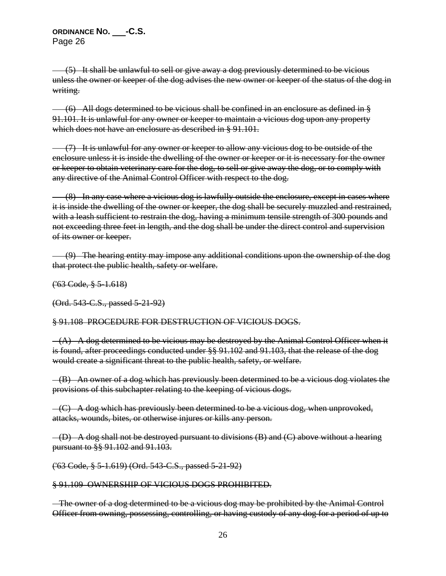(5) It shall be unlawful to sell or give away a dog previously determined to be vicious unless the owner or keeper of the dog advises the new owner or keeper of the status of the dog in writing.

 $(6)$  All dogs determined to be vicious shall be confined in an enclosure as defined in § 91.101. It is unlawful for any owner or keeper to maintain a vicious dog upon any property which does not have an enclosure as described in § 91.101.

 (7) It is unlawful for any owner or keeper to allow any vicious dog to be outside of the enclosure unless it is inside the dwelling of the owner or keeper or it is necessary for the owner or keeper to obtain veterinary care for the dog, to sell or give away the dog, or to comply with any directive of the Animal Control Officer with respect to the dog.

 $(8)$  In any case where a vicious dog is lawfully outside the enclosure, except in cases where it is inside the dwelling of the owner or keeper, the dog shall be securely muzzled and restrained, with a leash sufficient to restrain the dog, having a minimum tensile strength of 300 pounds and not exceeding three feet in length, and the dog shall be under the direct control and supervision of its owner or keeper.

 (9) The hearing entity may impose any additional conditions upon the ownership of the dog that protect the public health, safety or welfare.

('63 Code, § 5-1.618)

(Ord. 543-C.S., passed 5-21-92)

§ 91.108 PROCEDURE FOR DESTRUCTION OF VICIOUS DOGS.

 $-(A)$  A dog determined to be vicious may be destroyed by the Animal Control Officer when it is found, after proceedings conducted under §§ 91.102 and 91.103, that the release of the dog would create a significant threat to the public health, safety, or welfare.

 (B) An owner of a dog which has previously been determined to be a vicious dog violates the provisions of this subchapter relating to the keeping of vicious dogs.

 $-(C)$  A dog which has previously been determined to be a vicious dog, when unprovoked, attacks, wounds, bites, or otherwise injures or kills any person.

 $-(D)$  A dog shall not be destroyed pursuant to divisions  $(B)$  and  $(C)$  above without a hearing pursuant to §§ 91.102 and 91.103.

('63 Code, § 5-1.619) (Ord. 543-C.S., passed 5-21-92)

# § 91.109 OWNERSHIP OF VICIOUS DOGS PROHIBITED.

The owner of a dog determined to be a vicious dog may be prohibited by the Animal Control Officer from owning, possessing, controlling, or having custody of any dog for a period of up to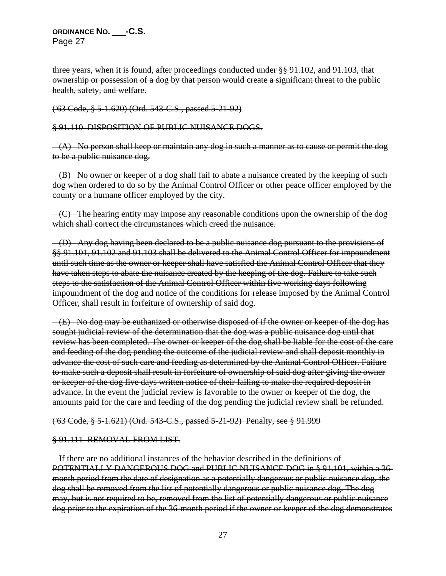three years, when it is found, after proceedings conducted under §§ 91.102, and 91.103, that ownership or possession of a dog by that person would create a significant threat to the public health, safety, and welfare.

### ('63 Code, § 5-1.620) (Ord. 543-C.S., passed 5-21-92)

### § 91.110 DISPOSITION OF PUBLIC NUISANCE DOGS.

 $-(A)$  No person shall keep or maintain any dog in such a manner as to cause or permit the dog to be a public nuisance dog.

 $-(B)$  No owner or keeper of a dog shall fail to abate a nuisance created by the keeping of such dog when ordered to do so by the Animal Control Officer or other peace officer employed by the county or a humane officer employed by the city.

 $-(C)$  The hearing entity may impose any reasonable conditions upon the ownership of the dog which shall correct the circumstances which creed the nuisance.

 (D) Any dog having been declared to be a public nuisance dog pursuant to the provisions of §§ 91.101, 91.102 and 91.103 shall be delivered to the Animal Control Officer for impoundment until such time as the owner or keeper shall have satisfied the Animal Control Officer that they have taken steps to abate the nuisance created by the keeping of the dog. Failure to take such steps to the satisfaction of the Animal Control Officer within five working days following impoundment of the dog and notice of the conditions for release imposed by the Animal Control Officer, shall result in forfeiture of ownership of said dog.

 $-(E)$  No dog may be euthanized or otherwise disposed of if the owner or keeper of the dog has sought judicial review of the determination that the dog was a public nuisance dog until that review has been completed. The owner or keeper of the dog shall be liable for the cost of the care and feeding of the dog pending the outcome of the judicial review and shall deposit monthly in advance the cost of such care and feeding as determined by the Animal Control Officer. Failure to make such a deposit shall result in forfeiture of ownership of said dog after giving the owner or keeper of the dog five days written notice of their failing to make the required deposit in advance. In the event the judicial review is favorable to the owner or keeper of the dog, the amounts paid for the care and feeding of the dog pending the judicial review shall be refunded.

### ('63 Code, § 5-1.621) (Ord. 543-C.S., passed 5-21-92) Penalty, see § 91.999

## § 91.111 REMOVAL FROM LIST.

 If there are no additional instances of the behavior described in the definitions of POTENTIALLY DANGEROUS DOG and PUBLIC NUISANCE DOG in § 91.101, within a 36 month period from the date of designation as a potentially dangerous or public nuisance dog, the dog shall be removed from the list of potentially dangerous or public nuisance dog. The dog may, but is not required to be, removed from the list of potentially dangerous or public nuisance dog prior to the expiration of the 36-month period if the owner or keeper of the dog demonstrates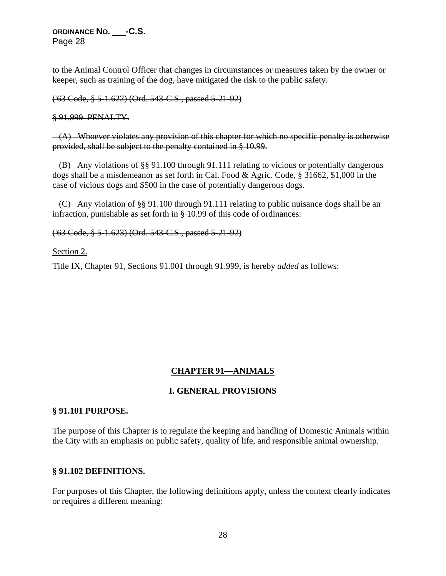to the Animal Control Officer that changes in circumstances or measures taken by the owner or keeper, such as training of the dog, have mitigated the risk to the public safety.

('63 Code, § 5-1.622) (Ord. 543-C.S., passed 5-21-92)

§ 91.999 PENALTY.

 $-(A)$  Whoever violates any provision of this chapter for which no specific penalty is otherwise provided, shall be subject to the penalty contained in § 10.99.

 (B) Any violations of §§ 91.100 through 91.111 relating to vicious or potentially dangerous dogs shall be a misdemeanor as set forth in Cal. Food & Agric. Code, § 31662, \$1,000 in the case of vicious dogs and \$500 in the case of potentially dangerous dogs.

 (C) Any violation of §§ 91.100 through 91.111 relating to public nuisance dogs shall be an infraction, punishable as set forth in § 10.99 of this code of ordinances.

('63 Code, § 5-1.623) (Ord. 543-C.S., passed 5-21-92)

Section 2.

Title IX, Chapter 91, Sections 91.001 through 91.999, is hereby *added* as follows:

## **CHAPTER 91—ANIMALS**

## **I. GENERAL PROVISIONS**

### **§ 91.101 PURPOSE.**

The purpose of this Chapter is to regulate the keeping and handling of Domestic Animals within the City with an emphasis on public safety, quality of life, and responsible animal ownership.

### **§ 91.102 DEFINITIONS.**

For purposes of this Chapter, the following definitions apply, unless the context clearly indicates or requires a different meaning: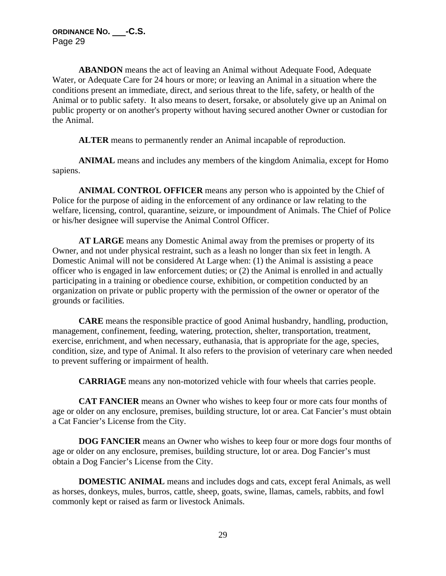**ABANDON** means the act of leaving an Animal without Adequate Food, Adequate Water, or Adequate Care for 24 hours or more; or leaving an Animal in a situation where the conditions present an immediate, direct, and serious threat to the life, safety, or health of the Animal or to public safety. It also means to desert, forsake, or absolutely give up an Animal on public property or on another's property without having secured another Owner or custodian for the Animal.

**ALTER** means to permanently render an Animal incapable of reproduction.

**ANIMAL** means and includes any members of the kingdom Animalia, except for Homo sapiens.

**ANIMAL CONTROL OFFICER** means any person who is appointed by the Chief of Police for the purpose of aiding in the enforcement of any ordinance or law relating to the welfare, licensing, control, quarantine, seizure, or impoundment of Animals. The Chief of Police or his/her designee will supervise the Animal Control Officer.

**AT LARGE** means any Domestic Animal away from the premises or property of its Owner, and not under physical restraint, such as a leash no longer than six feet in length. A Domestic Animal will not be considered At Large when: (1) the Animal is assisting a peace officer who is engaged in law enforcement duties; or (2) the Animal is enrolled in and actually participating in a training or obedience course, exhibition, or competition conducted by an organization on private or public property with the permission of the owner or operator of the grounds or facilities.

**CARE** means the responsible practice of good Animal husbandry, handling, production, management, confinement, feeding, watering, protection, shelter, transportation, treatment, exercise, enrichment, and when necessary, euthanasia, that is appropriate for the age, species, condition, size, and type of Animal. It also refers to the provision of veterinary care when needed to prevent suffering or impairment of health.

**CARRIAGE** means any non-motorized vehicle with four wheels that carries people.

**CAT FANCIER** means an Owner who wishes to keep four or more cats four months of age or older on any enclosure, premises, building structure, lot or area. Cat Fancier's must obtain a Cat Fancier's License from the City.

**DOG FANCIER** means an Owner who wishes to keep four or more dogs four months of age or older on any enclosure, premises, building structure, lot or area. Dog Fancier's must obtain a Dog Fancier's License from the City.

**DOMESTIC ANIMAL** means and includes dogs and cats, except feral Animals, as well as horses, donkeys, mules, burros, cattle, sheep, goats, swine, llamas, camels, rabbits, and fowl commonly kept or raised as farm or livestock Animals.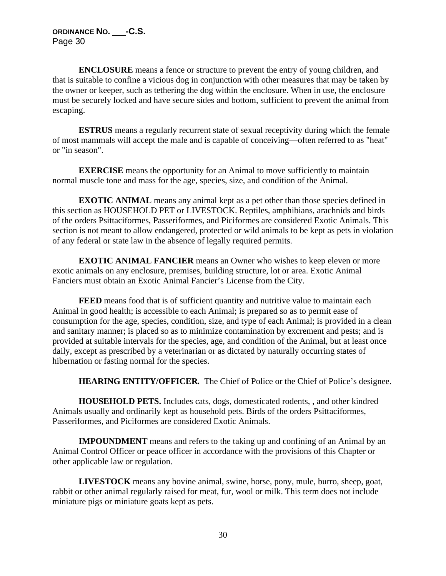**ENCLOSURE** means a fence or structure to prevent the entry of young children, and that is suitable to confine a vicious dog in conjunction with other measures that may be taken by the owner or keeper, such as tethering the dog within the enclosure. When in use, the enclosure must be securely locked and have secure sides and bottom, sufficient to prevent the animal from escaping.

**ESTRUS** means a regularly recurrent state of sexual receptivity during which the female of most mammals will accept the male and is capable of conceiving—often referred to as "heat" or "in season".

**EXERCISE** means the opportunity for an Animal to move sufficiently to maintain normal muscle tone and mass for the age, species, size, and condition of the Animal.

**EXOTIC ANIMAL** means any animal kept as a pet other than those species defined in this section as HOUSEHOLD PET or LIVESTOCK. Reptiles, amphibians, arachnids and birds of the orders Psittaciformes, Passeriformes, and Piciformes are considered Exotic Animals. This section is not meant to allow endangered, protected or wild animals to be kept as pets in violation of any federal or state law in the absence of legally required permits.

**EXOTIC ANIMAL FANCIER** means an Owner who wishes to keep eleven or more exotic animals on any enclosure, premises, building structure, lot or area. Exotic Animal Fanciers must obtain an Exotic Animal Fancier's License from the City.

**FEED** means food that is of sufficient quantity and nutritive value to maintain each Animal in good health; is accessible to each Animal; is prepared so as to permit ease of consumption for the age, species, condition, size, and type of each Animal; is provided in a clean and sanitary manner; is placed so as to minimize contamination by excrement and pests; and is provided at suitable intervals for the species, age, and condition of the Animal, but at least once daily, except as prescribed by a veterinarian or as dictated by naturally occurring states of hibernation or fasting normal for the species.

**HEARING ENTITY/OFFICER***.* The Chief of Police or the Chief of Police's designee.

**HOUSEHOLD PETS.** Includes cats, dogs, domesticated rodents, , and other kindred Animals usually and ordinarily kept as household pets. Birds of the orders Psittaciformes, Passeriformes, and Piciformes are considered Exotic Animals.

**IMPOUNDMENT** means and refers to the taking up and confining of an Animal by an Animal Control Officer or peace officer in accordance with the provisions of this Chapter or other applicable law or regulation.

**LIVESTOCK** means any bovine animal, swine, horse, pony, mule, burro, sheep, goat, rabbit or other animal regularly raised for meat, fur, wool or milk. This term does not include miniature pigs or miniature goats kept as pets.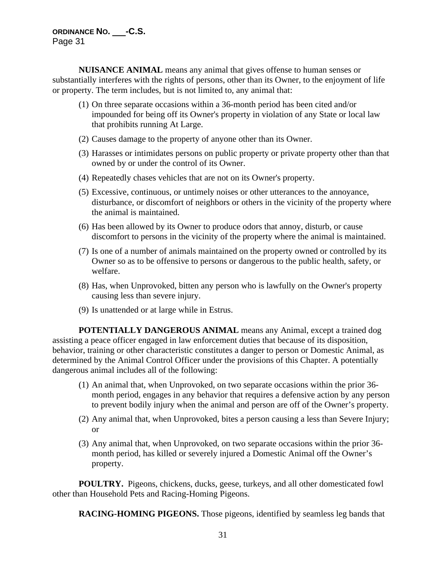**NUISANCE ANIMAL** means any animal that gives offense to human senses or substantially interferes with the rights of persons, other than its Owner, to the enjoyment of life or property. The term includes, but is not limited to, any animal that:

- (1) On three separate occasions within a 36-month period has been cited and/or impounded for being off its Owner's property in violation of any State or local law that prohibits running At Large.
- (2) Causes damage to the property of anyone other than its Owner.
- (3) Harasses or intimidates persons on public property or private property other than that owned by or under the control of its Owner.
- (4) Repeatedly chases vehicles that are not on its Owner's property.
- (5) Excessive, continuous, or untimely noises or other utterances to the annoyance, disturbance, or discomfort of neighbors or others in the vicinity of the property where the animal is maintained.
- (6) Has been allowed by its Owner to produce odors that annoy, disturb, or cause discomfort to persons in the vicinity of the property where the animal is maintained.
- (7) Is one of a number of animals maintained on the property owned or controlled by its Owner so as to be offensive to persons or dangerous to the public health, safety, or welfare.
- (8) Has, when Unprovoked, bitten any person who is lawfully on the Owner's property causing less than severe injury.
- (9) Is unattended or at large while in Estrus.

**POTENTIALLY DANGEROUS ANIMAL** means any Animal, except a trained dog assisting a peace officer engaged in law enforcement duties that because of its disposition, behavior, training or other characteristic constitutes a danger to person or Domestic Animal, as determined by the Animal Control Officer under the provisions of this Chapter. A potentially dangerous animal includes all of the following:

- (1) An animal that, when Unprovoked, on two separate occasions within the prior 36 month period, engages in any behavior that requires a defensive action by any person to prevent bodily injury when the animal and person are off of the Owner's property.
- (2) Any animal that, when Unprovoked, bites a person causing a less than Severe Injury; or
- (3) Any animal that, when Unprovoked, on two separate occasions within the prior 36 month period, has killed or severely injured a Domestic Animal off the Owner's property.

**POULTRY.** Pigeons, chickens, ducks, geese, turkeys, and all other domesticated fowl other than Household Pets and Racing-Homing Pigeons.

**RACING-HOMING PIGEONS.** Those pigeons, identified by seamless leg bands that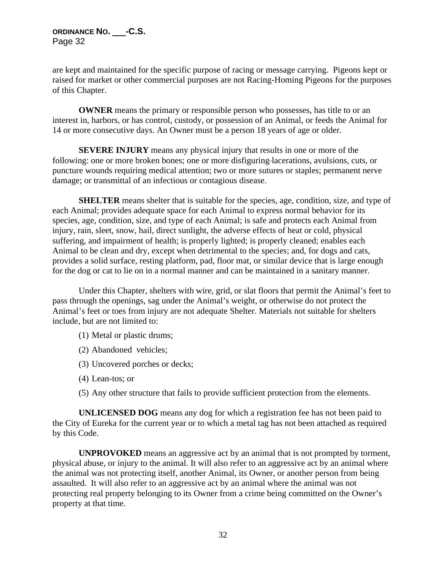are kept and maintained for the specific purpose of racing or message carrying. Pigeons kept or raised for market or other commercial purposes are not Racing-Homing Pigeons for the purposes of this Chapter.

**OWNER** means the primary or responsible person who possesses, has title to or an interest in, harbors, or has control, custody, or possession of an Animal, or feeds the Animal for 14 or more consecutive days. An Owner must be a person 18 years of age or older.

**SEVERE INJURY** means any physical injury that results in one or more of the following: one or more broken bones; one or more disfiguring lacerations, avulsions, cuts, or puncture wounds requiring medical attention; two or more sutures or staples; permanent nerve damage; or transmittal of an infectious or contagious disease.

**SHELTER** means shelter that is suitable for the species, age, condition, size, and type of each Animal; provides adequate space for each Animal to express normal behavior for its species, age, condition, size, and type of each Animal; is safe and protects each Animal from injury, rain, sleet, snow, hail, direct sunlight, the adverse effects of heat or cold, physical suffering, and impairment of health; is properly lighted; is properly cleaned; enables each Animal to be clean and dry, except when detrimental to the species; and, for dogs and cats, provides a solid surface, resting platform, pad, floor mat, or similar device that is large enough for the dog or cat to lie on in a normal manner and can be maintained in a sanitary manner.

Under this Chapter, shelters with wire, grid, or slat floors that permit the Animal's feet to pass through the openings, sag under the Animal's weight, or otherwise do not protect the Animal's feet or toes from injury are not adequate Shelter. Materials not suitable for shelters include, but are not limited to:

- (1) Metal or plastic drums;
- (2) Abandoned vehicles;
- (3) Uncovered porches or decks;
- (4) Lean-tos; or
- (5) Any other structure that fails to provide sufficient protection from the elements.

**UNLICENSED DOG** means any dog for which a registration fee has not been paid to the City of Eureka for the current year or to which a metal tag has not been attached as required by this Code.

**UNPROVOKED** means an aggressive act by an animal that is not prompted by torment, physical abuse, or injury to the animal. It will also refer to an aggressive act by an animal where the animal was not protecting itself, another Animal, its Owner, or another person from being assaulted. It will also refer to an aggressive act by an animal where the animal was not protecting real property belonging to its Owner from a crime being committed on the Owner's property at that time.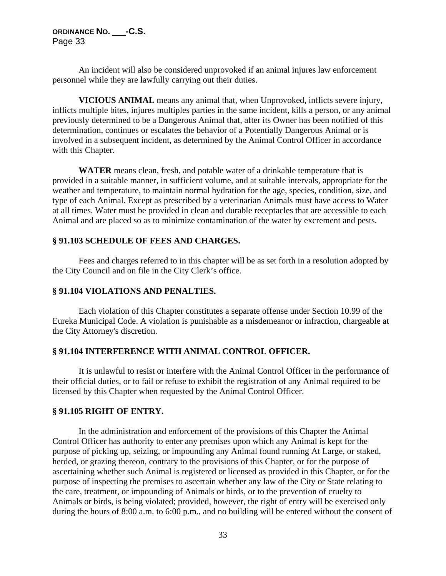An incident will also be considered unprovoked if an animal injures law enforcement personnel while they are lawfully carrying out their duties.

**VICIOUS ANIMAL** means any animal that, when Unprovoked, inflicts severe injury, inflicts multiple bites, injures multiples parties in the same incident, kills a person, or any animal previously determined to be a Dangerous Animal that, after its Owner has been notified of this determination, continues or escalates the behavior of a Potentially Dangerous Animal or is involved in a subsequent incident, as determined by the Animal Control Officer in accordance with this Chapter.

**WATER** means clean, fresh, and potable water of a drinkable temperature that is provided in a suitable manner, in sufficient volume, and at suitable intervals, appropriate for the weather and temperature, to maintain normal hydration for the age, species, condition, size, and type of each Animal. Except as prescribed by a veterinarian Animals must have access to Water at all times. Water must be provided in clean and durable receptacles that are accessible to each Animal and are placed so as to minimize contamination of the water by excrement and pests.

## **§ 91.103 SCHEDULE OF FEES AND CHARGES.**

Fees and charges referred to in this chapter will be as set forth in a resolution adopted by the City Council and on file in the City Clerk's office.

### **§ 91.104 VIOLATIONS AND PENALTIES.**

Each violation of this Chapter constitutes a separate offense under Section 10.99 of the Eureka Municipal Code. A violation is punishable as a misdemeanor or infraction, chargeable at the City Attorney's discretion.

## **§ 91.104 INTERFERENCE WITH ANIMAL CONTROL OFFICER.**

It is unlawful to resist or interfere with the Animal Control Officer in the performance of their official duties, or to fail or refuse to exhibit the registration of any Animal required to be licensed by this Chapter when requested by the Animal Control Officer.

### **§ 91.105 RIGHT OF ENTRY.**

In the administration and enforcement of the provisions of this Chapter the Animal Control Officer has authority to enter any premises upon which any Animal is kept for the purpose of picking up, seizing, or impounding any Animal found running At Large, or staked, herded, or grazing thereon, contrary to the provisions of this Chapter, or for the purpose of ascertaining whether such Animal is registered or licensed as provided in this Chapter, or for the purpose of inspecting the premises to ascertain whether any law of the City or State relating to the care, treatment, or impounding of Animals or birds, or to the prevention of cruelty to Animals or birds, is being violated; provided, however, the right of entry will be exercised only during the hours of 8:00 a.m. to 6:00 p.m., and no building will be entered without the consent of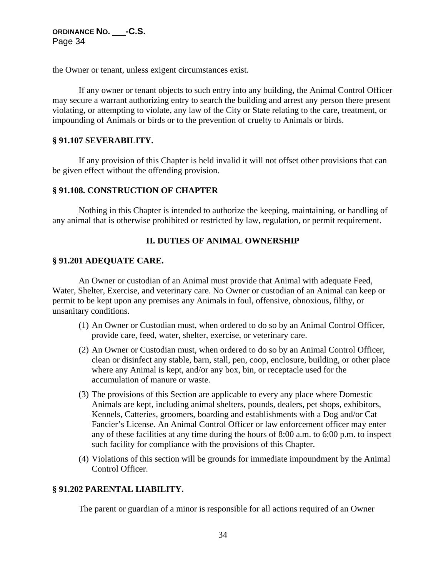the Owner or tenant, unless exigent circumstances exist.

If any owner or tenant objects to such entry into any building, the Animal Control Officer may secure a warrant authorizing entry to search the building and arrest any person there present violating, or attempting to violate, any law of the City or State relating to the care, treatment, or impounding of Animals or birds or to the prevention of cruelty to Animals or birds.

### **§ 91.107 SEVERABILITY.**

If any provision of this Chapter is held invalid it will not offset other provisions that can be given effect without the offending provision.

### **§ 91.108. CONSTRUCTION OF CHAPTER**

Nothing in this Chapter is intended to authorize the keeping, maintaining, or handling of any animal that is otherwise prohibited or restricted by law, regulation, or permit requirement.

## **II. DUTIES OF ANIMAL OWNERSHIP**

#### **§ 91.201 ADEQUATE CARE.**

An Owner or custodian of an Animal must provide that Animal with adequate Feed, Water, Shelter, Exercise, and veterinary care. No Owner or custodian of an Animal can keep or permit to be kept upon any premises any Animals in foul, offensive, obnoxious, filthy, or unsanitary conditions.

- (1) An Owner or Custodian must, when ordered to do so by an Animal Control Officer, provide care, feed, water, shelter, exercise, or veterinary care.
- (2) An Owner or Custodian must, when ordered to do so by an Animal Control Officer, clean or disinfect any stable, barn, stall, pen, coop, enclosure, building, or other place where any Animal is kept, and/or any box, bin, or receptacle used for the accumulation of manure or waste.
- (3) The provisions of this Section are applicable to every any place where Domestic Animals are kept, including animal shelters, pounds, dealers, pet shops, exhibitors, Kennels, Catteries, groomers, boarding and establishments with a Dog and/or Cat Fancier's License. An Animal Control Officer or law enforcement officer may enter any of these facilities at any time during the hours of 8:00 a.m. to 6:00 p.m. to inspect such facility for compliance with the provisions of this Chapter.
- (4) Violations of this section will be grounds for immediate impoundment by the Animal Control Officer.

## **§ 91.202 PARENTAL LIABILITY.**

The parent or guardian of a minor is responsible for all actions required of an Owner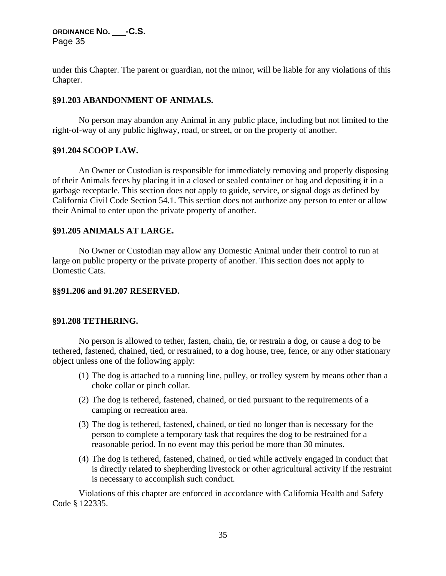under this Chapter. The parent or guardian, not the minor, will be liable for any violations of this Chapter.

### **§91.203 ABANDONMENT OF ANIMALS.**

No person may abandon any Animal in any public place, including but not limited to the right-of-way of any public highway, road, or street, or on the property of another.

### **§91.204 SCOOP LAW.**

An Owner or Custodian is responsible for immediately removing and properly disposing of their Animals feces by placing it in a closed or sealed container or bag and depositing it in a garbage receptacle. This section does not apply to guide, service, or signal dogs as defined by California Civil Code Section 54.1. This section does not authorize any person to enter or allow their Animal to enter upon the private property of another.

### **§91.205 ANIMALS AT LARGE.**

No Owner or Custodian may allow any Domestic Animal under their control to run at large on public property or the private property of another. This section does not apply to Domestic Cats.

### **§§91.206 and 91.207 RESERVED.**

### **§91.208 TETHERING.**

No person is allowed to tether, fasten, chain, tie, or restrain a dog, or cause a dog to be tethered, fastened, chained, tied, or restrained, to a dog house, tree, fence, or any other stationary object unless one of the following apply:

- (1) The dog is attached to a running line, pulley, or trolley system by means other than a choke collar or pinch collar.
- (2) The dog is tethered, fastened, chained, or tied pursuant to the requirements of a camping or recreation area.
- (3) The dog is tethered, fastened, chained, or tied no longer than is necessary for the person to complete a temporary task that requires the dog to be restrained for a reasonable period. In no event may this period be more than 30 minutes.
- (4) The dog is tethered, fastened, chained, or tied while actively engaged in conduct that is directly related to shepherding livestock or other agricultural activity if the restraint is necessary to accomplish such conduct.

Violations of this chapter are enforced in accordance with California Health and Safety Code § 122335.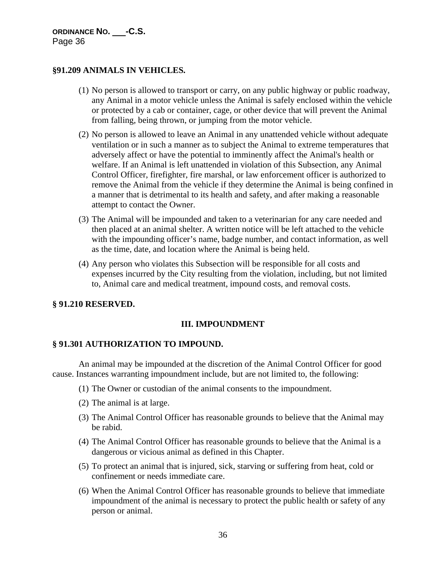## **§91.209 ANIMALS IN VEHICLES***.*

- (1) No person is allowed to transport or carry, on any public highway or public roadway, any Animal in a motor vehicle unless the Animal is safely enclosed within the vehicle or protected by a cab or container, cage, or other device that will prevent the Animal from falling, being thrown, or jumping from the motor vehicle.
- (2) No person is allowed to leave an Animal in any unattended vehicle without adequate ventilation or in such a manner as to subject the Animal to extreme temperatures that adversely affect or have the potential to imminently affect the Animal's health or welfare. If an Animal is left unattended in violation of this Subsection, any Animal Control Officer, firefighter, fire marshal, or law enforcement officer is authorized to remove the Animal from the vehicle if they determine the Animal is being confined in a manner that is detrimental to its health and safety, and after making a reasonable attempt to contact the Owner.
- (3) The Animal will be impounded and taken to a veterinarian for any care needed and then placed at an animal shelter. A written notice will be left attached to the vehicle with the impounding officer's name, badge number, and contact information, as well as the time, date, and location where the Animal is being held.
- (4) Any person who violates this Subsection will be responsible for all costs and expenses incurred by the City resulting from the violation, including, but not limited to, Animal care and medical treatment, impound costs, and removal costs.

## **§ 91.210 RESERVED.**

## **III. IMPOUNDMENT**

## **§ 91.301 AUTHORIZATION TO IMPOUND.**

An animal may be impounded at the discretion of the Animal Control Officer for good cause. Instances warranting impoundment include, but are not limited to, the following:

- (1) The Owner or custodian of the animal consents to the impoundment.
- (2) The animal is at large.
- (3) The Animal Control Officer has reasonable grounds to believe that the Animal may be rabid.
- (4) The Animal Control Officer has reasonable grounds to believe that the Animal is a dangerous or vicious animal as defined in this Chapter.
- (5) To protect an animal that is injured, sick, starving or suffering from heat, cold or confinement or needs immediate care.
- (6) When the Animal Control Officer has reasonable grounds to believe that immediate impoundment of the animal is necessary to protect the public health or safety of any person or animal.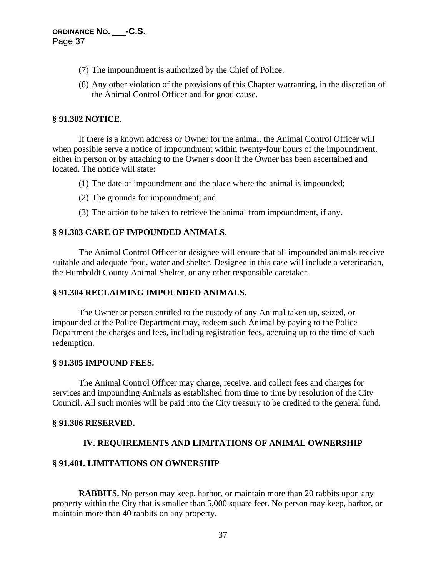- (7) The impoundment is authorized by the Chief of Police.
- (8) Any other violation of the provisions of this Chapter warranting, in the discretion of the Animal Control Officer and for good cause.

### **§ 91.302 NOTICE**.

If there is a known address or Owner for the animal, the Animal Control Officer will when possible serve a notice of impoundment within twenty-four hours of the impoundment, either in person or by attaching to the Owner's door if the Owner has been ascertained and located. The notice will state:

- (1) The date of impoundment and the place where the animal is impounded;
- (2) The grounds for impoundment; and
- (3) The action to be taken to retrieve the animal from impoundment, if any.

### **§ 91.303 CARE OF IMPOUNDED ANIMALS**.

The Animal Control Officer or designee will ensure that all impounded animals receive suitable and adequate food, water and shelter. Designee in this case will include a veterinarian, the Humboldt County Animal Shelter, or any other responsible caretaker.

### **§ 91.304 RECLAIMING IMPOUNDED ANIMALS.**

The Owner or person entitled to the custody of any Animal taken up, seized, or impounded at the Police Department may, redeem such Animal by paying to the Police Department the charges and fees, including registration fees, accruing up to the time of such redemption.

### **§ 91.305 IMPOUND FEES.**

The Animal Control Officer may charge, receive, and collect fees and charges for services and impounding Animals as established from time to time by resolution of the City Council. All such monies will be paid into the City treasury to be credited to the general fund.

### **§ 91.306 RESERVED.**

### **IV. REQUIREMENTS AND LIMITATIONS OF ANIMAL OWNERSHIP**

### **§ 91.401. LIMITATIONS ON OWNERSHIP**

**RABBITS.** No person may keep, harbor, or maintain more than 20 rabbits upon any property within the City that is smaller than 5,000 square feet. No person may keep, harbor, or maintain more than 40 rabbits on any property.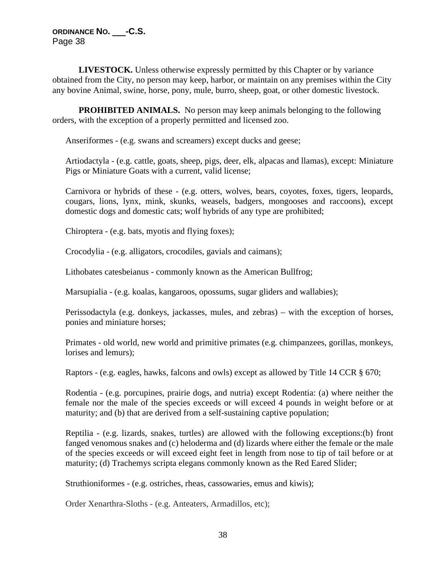**LIVESTOCK.** Unless otherwise expressly permitted by this Chapter or by variance obtained from the City, no person may keep, harbor, or maintain on any premises within the City any bovine Animal, swine, horse, pony, mule, burro, sheep, goat, or other domestic livestock.

**PROHIBITED ANIMALS.** No person may keep animals belonging to the following orders, with the exception of a properly permitted and licensed zoo.

Anseriformes - (e.g. swans and screamers) except ducks and geese;

Artiodactyla - (e.g. cattle, goats, sheep, pigs, deer, elk, alpacas and llamas), except: Miniature Pigs or Miniature Goats with a current, valid license;

Carnivora or hybrids of these - (e.g. otters, wolves, bears, coyotes, foxes, tigers, leopards, cougars, lions, lynx, mink, skunks, weasels, badgers, mongooses and raccoons), except domestic dogs and domestic cats; wolf hybrids of any type are prohibited;

Chiroptera - (e.g. bats, myotis and flying foxes);

Crocodylia - (e.g. alligators, crocodiles, gavials and caimans);

Lithobates catesbeianus - commonly known as the American Bullfrog;

Marsupialia - (e.g. koalas, kangaroos, opossums, sugar gliders and wallabies);

Perissodactyla (e.g. donkeys, jackasses, mules, and zebras) – with the exception of horses, ponies and miniature horses;

Primates - old world, new world and primitive primates (e.g. chimpanzees, gorillas, monkeys, lorises and lemurs);

Raptors - (e.g. eagles, hawks, falcons and owls) except as allowed by Title 14 CCR § 670;

Rodentia - (e.g. porcupines, prairie dogs, and nutria) except Rodentia: (a) where neither the female nor the male of the species exceeds or will exceed 4 pounds in weight before or at maturity; and (b) that are derived from a self-sustaining captive population;

Reptilia - (e.g. lizards, snakes, turtles) are allowed with the following exceptions:(b) front fanged venomous snakes and (c) heloderma and (d) lizards where either the female or the male of the species exceeds or will exceed eight feet in length from nose to tip of tail before or at maturity; (d) Trachemys scripta elegans commonly known as the Red Eared Slider;

Struthioniformes - (e.g. ostriches, rheas, cassowaries, emus and kiwis);

Order Xenarthra-Sloths - (e.g. Anteaters, Armadillos, etc);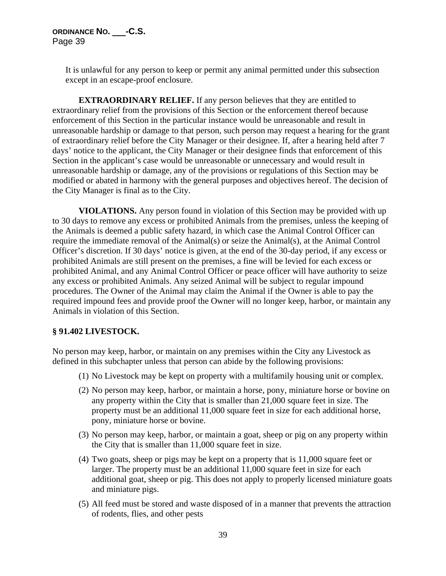> It is unlawful for any person to keep or permit any animal permitted under this subsection except in an escape-proof enclosure.

**EXTRAORDINARY RELIEF.** If any person believes that they are entitled to extraordinary relief from the provisions of this Section or the enforcement thereof because enforcement of this Section in the particular instance would be unreasonable and result in unreasonable hardship or damage to that person, such person may request a hearing for the grant of extraordinary relief before the City Manager or their designee. If, after a hearing held after 7 days' notice to the applicant, the City Manager or their designee finds that enforcement of this Section in the applicant's case would be unreasonable or unnecessary and would result in unreasonable hardship or damage, any of the provisions or regulations of this Section may be modified or abated in harmony with the general purposes and objectives hereof. The decision of the City Manager is final as to the City.

**VIOLATIONS.** Any person found in violation of this Section may be provided with up to 30 days to remove any excess or prohibited Animals from the premises, unless the keeping of the Animals is deemed a public safety hazard, in which case the Animal Control Officer can require the immediate removal of the Animal(s) or seize the Animal(s), at the Animal Control Officer's discretion. If 30 days' notice is given, at the end of the 30-day period, if any excess or prohibited Animals are still present on the premises, a fine will be levied for each excess or prohibited Animal, and any Animal Control Officer or peace officer will have authority to seize any excess or prohibited Animals. Any seized Animal will be subject to regular impound procedures. The Owner of the Animal may claim the Animal if the Owner is able to pay the required impound fees and provide proof the Owner will no longer keep, harbor, or maintain any Animals in violation of this Section.

### **§ 91.402 LIVESTOCK.**

No person may keep, harbor, or maintain on any premises within the City any Livestock as defined in this subchapter unless that person can abide by the following provisions:

- (1) No Livestock may be kept on property with a multifamily housing unit or complex.
- (2) No person may keep, harbor, or maintain a horse, pony, miniature horse or bovine on any property within the City that is smaller than 21,000 square feet in size. The property must be an additional 11,000 square feet in size for each additional horse, pony, miniature horse or bovine.
- (3) No person may keep, harbor, or maintain a goat, sheep or pig on any property within the City that is smaller than 11,000 square feet in size.
- (4) Two goats, sheep or pigs may be kept on a property that is 11,000 square feet or larger. The property must be an additional 11,000 square feet in size for each additional goat, sheep or pig. This does not apply to properly licensed miniature goats and miniature pigs.
- (5) All feed must be stored and waste disposed of in a manner that prevents the attraction of rodents, flies, and other pests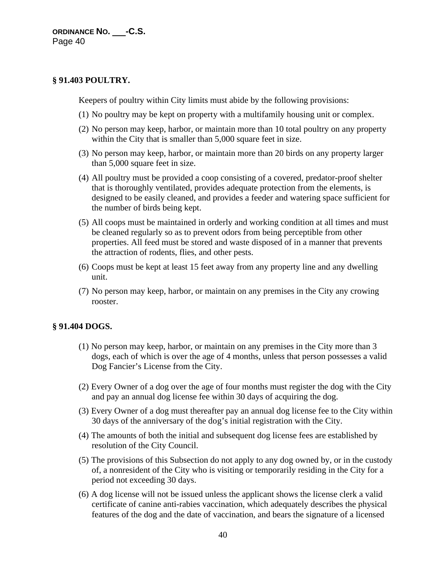## **§ 91.403 POULTRY.**

Keepers of poultry within City limits must abide by the following provisions:

- (1) No poultry may be kept on property with a multifamily housing unit or complex.
- (2) No person may keep, harbor, or maintain more than 10 total poultry on any property within the City that is smaller than 5,000 square feet in size.
- (3) No person may keep, harbor, or maintain more than 20 birds on any property larger than 5,000 square feet in size.
- (4) All poultry must be provided a coop consisting of a covered, predator-proof shelter that is thoroughly ventilated, provides adequate protection from the elements, is designed to be easily cleaned, and provides a feeder and watering space sufficient for the number of birds being kept.
- (5) All coops must be maintained in orderly and working condition at all times and must be cleaned regularly so as to prevent odors from being perceptible from other properties. All feed must be stored and waste disposed of in a manner that prevents the attraction of rodents, flies, and other pests.
- (6) Coops must be kept at least 15 feet away from any property line and any dwelling unit.
- (7) No person may keep, harbor, or maintain on any premises in the City any crowing rooster.

### **§ 91.404 DOGS.**

- (1) No person may keep, harbor, or maintain on any premises in the City more than 3 dogs, each of which is over the age of 4 months, unless that person possesses a valid Dog Fancier's License from the City.
- (2) Every Owner of a dog over the age of four months must register the dog with the City and pay an annual dog license fee within 30 days of acquiring the dog.
- (3) Every Owner of a dog must thereafter pay an annual dog license fee to the City within 30 days of the anniversary of the dog's initial registration with the City.
- (4) The amounts of both the initial and subsequent dog license fees are established by resolution of the City Council.
- (5) The provisions of this Subsection do not apply to any dog owned by, or in the custody of, a nonresident of the City who is visiting or temporarily residing in the City for a period not exceeding 30 days.
- (6) A dog license will not be issued unless the applicant shows the license clerk a valid certificate of canine anti-rabies vaccination, which adequately describes the physical features of the dog and the date of vaccination, and bears the signature of a licensed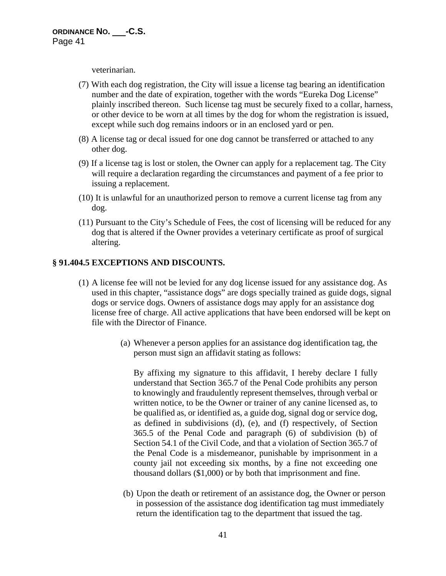veterinarian.

- (7) With each dog registration, the City will issue a license tag bearing an identification number and the date of expiration, together with the words "Eureka Dog License" plainly inscribed thereon. Such license tag must be securely fixed to a collar, harness, or other device to be worn at all times by the dog for whom the registration is issued, except while such dog remains indoors or in an enclosed yard or pen.
- (8) A license tag or decal issued for one dog cannot be transferred or attached to any other dog.
- (9) If a license tag is lost or stolen, the Owner can apply for a replacement tag. The City will require a declaration regarding the circumstances and payment of a fee prior to issuing a replacement.
- (10) It is unlawful for an unauthorized person to remove a current license tag from any dog.
- (11) Pursuant to the City's Schedule of Fees, the cost of licensing will be reduced for any dog that is altered if the Owner provides a veterinary certificate as proof of surgical altering.

### **§ 91.404.5 EXCEPTIONS AND DISCOUNTS.**

- (1) A license fee will not be levied for any dog license issued for any assistance dog. As used in this chapter, "assistance dogs" are dogs specially trained as guide dogs, signal dogs or service dogs. Owners of assistance dogs may apply for an assistance dog license free of charge. All active applications that have been endorsed will be kept on file with the Director of Finance.
	- (a) Whenever a person applies for an assistance dog identification tag, the person must sign an affidavit stating as follows:

By affixing my signature to this affidavit, I hereby declare I fully understand that Section 365.7 of the Penal Code prohibits any person to knowingly and fraudulently represent themselves, through verbal or written notice, to be the Owner or trainer of any canine licensed as, to be qualified as, or identified as, a guide dog, signal dog or service dog, as defined in subdivisions (d), (e), and (f) respectively, of Section 365.5 of the Penal Code and paragraph (6) of subdivision (b) of Section 54.1 of the Civil Code, and that a violation of Section 365.7 of the Penal Code is a misdemeanor, punishable by imprisonment in a county jail not exceeding six months, by a fine not exceeding one thousand dollars (\$1,000) or by both that imprisonment and fine.

(b) Upon the death or retirement of an assistance dog, the Owner or person in possession of the assistance dog identification tag must immediately return the identification tag to the department that issued the tag.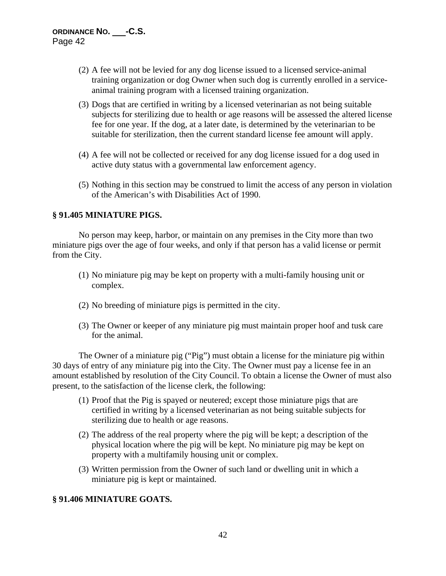- (2) A fee will not be levied for any dog license issued to a licensed service-animal training organization or dog Owner when such dog is currently enrolled in a serviceanimal training program with a licensed training organization.
- (3) Dogs that are certified in writing by a licensed veterinarian as not being suitable subjects for sterilizing due to health or age reasons will be assessed the altered license fee for one year. If the dog, at a later date, is determined by the veterinarian to be suitable for sterilization, then the current standard license fee amount will apply.
- (4) A fee will not be collected or received for any dog license issued for a dog used in active duty status with a governmental law enforcement agency.
- (5) Nothing in this section may be construed to limit the access of any person in violation of the American's with Disabilities Act of 1990.

### **§ 91.405 MINIATURE PIGS.**

No person may keep, harbor, or maintain on any premises in the City more than two miniature pigs over the age of four weeks, and only if that person has a valid license or permit from the City.

- (1) No miniature pig may be kept on property with a multi-family housing unit or complex.
- (2) No breeding of miniature pigs is permitted in the city.
- (3) The Owner or keeper of any miniature pig must maintain proper hoof and tusk care for the animal.

The Owner of a miniature pig ("Pig") must obtain a license for the miniature pig within 30 days of entry of any miniature pig into the City. The Owner must pay a license fee in an amount established by resolution of the City Council. To obtain a license the Owner of must also present, to the satisfaction of the license clerk, the following:

- (1) Proof that the Pig is spayed or neutered; except those miniature pigs that are certified in writing by a licensed veterinarian as not being suitable subjects for sterilizing due to health or age reasons.
- (2) The address of the real property where the pig will be kept; a description of the physical location where the pig will be kept. No miniature pig may be kept on property with a multifamily housing unit or complex.
- (3) Written permission from the Owner of such land or dwelling unit in which a miniature pig is kept or maintained.

### **§ 91.406 MINIATURE GOATS.**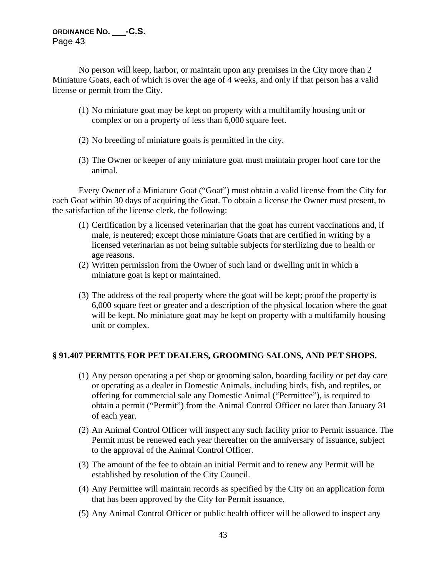No person will keep, harbor, or maintain upon any premises in the City more than 2 Miniature Goats, each of which is over the age of 4 weeks, and only if that person has a valid license or permit from the City.

- (1) No miniature goat may be kept on property with a multifamily housing unit or complex or on a property of less than 6,000 square feet.
- (2) No breeding of miniature goats is permitted in the city.
- (3) The Owner or keeper of any miniature goat must maintain proper hoof care for the animal.

Every Owner of a Miniature Goat ("Goat") must obtain a valid license from the City for each Goat within 30 days of acquiring the Goat. To obtain a license the Owner must present, to the satisfaction of the license clerk, the following:

- (1) Certification by a licensed veterinarian that the goat has current vaccinations and, if male, is neutered; except those miniature Goats that are certified in writing by a licensed veterinarian as not being suitable subjects for sterilizing due to health or age reasons.
- (2) Written permission from the Owner of such land or dwelling unit in which a miniature goat is kept or maintained.
- (3) The address of the real property where the goat will be kept; proof the property is 6,000 square feet or greater and a description of the physical location where the goat will be kept. No miniature goat may be kept on property with a multifamily housing unit or complex.

## **§ 91.407 PERMITS FOR PET DEALERS, GROOMING SALONS, AND PET SHOPS.**

- (1) Any person operating a pet shop or grooming salon, boarding facility or pet day care or operating as a dealer in Domestic Animals, including birds, fish, and reptiles, or offering for commercial sale any Domestic Animal ("Permittee"), is required to obtain a permit ("Permit") from the Animal Control Officer no later than January 31 of each year.
- (2) An Animal Control Officer will inspect any such facility prior to Permit issuance. The Permit must be renewed each year thereafter on the anniversary of issuance, subject to the approval of the Animal Control Officer.
- (3) The amount of the fee to obtain an initial Permit and to renew any Permit will be established by resolution of the City Council.
- (4) Any Permittee will maintain records as specified by the City on an application form that has been approved by the City for Permit issuance.
- (5) Any Animal Control Officer or public health officer will be allowed to inspect any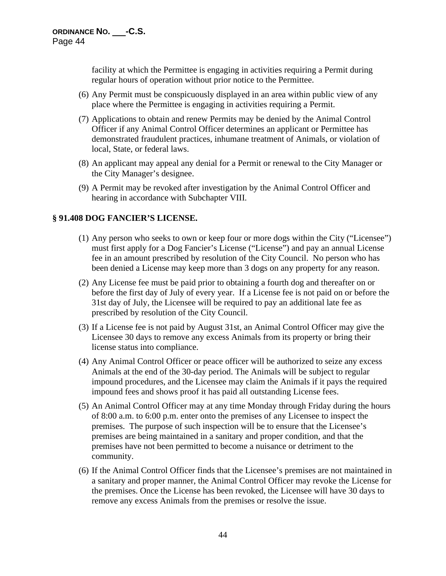facility at which the Permittee is engaging in activities requiring a Permit during regular hours of operation without prior notice to the Permittee.

- (6) Any Permit must be conspicuously displayed in an area within public view of any place where the Permittee is engaging in activities requiring a Permit.
- (7) Applications to obtain and renew Permits may be denied by the Animal Control Officer if any Animal Control Officer determines an applicant or Permittee has demonstrated fraudulent practices, inhumane treatment of Animals, or violation of local, State, or federal laws.
- (8) An applicant may appeal any denial for a Permit or renewal to the City Manager or the City Manager's designee.
- (9) A Permit may be revoked after investigation by the Animal Control Officer and hearing in accordance with Subchapter VIII.

## **§ 91.408 DOG FANCIER'S LICENSE.**

- (1) Any person who seeks to own or keep four or more dogs within the City ("Licensee") must first apply for a Dog Fancier's License ("License") and pay an annual License fee in an amount prescribed by resolution of the City Council. No person who has been denied a License may keep more than 3 dogs on any property for any reason.
- (2) Any License fee must be paid prior to obtaining a fourth dog and thereafter on or before the first day of July of every year. If a License fee is not paid on or before the 31st day of July, the Licensee will be required to pay an additional late fee as prescribed by resolution of the City Council.
- (3) If a License fee is not paid by August 31st, an Animal Control Officer may give the Licensee 30 days to remove any excess Animals from its property or bring their license status into compliance.
- (4) Any Animal Control Officer or peace officer will be authorized to seize any excess Animals at the end of the 30-day period. The Animals will be subject to regular impound procedures, and the Licensee may claim the Animals if it pays the required impound fees and shows proof it has paid all outstanding License fees.
- (5) An Animal Control Officer may at any time Monday through Friday during the hours of 8:00 a.m. to 6:00 p.m. enter onto the premises of any Licensee to inspect the premises. The purpose of such inspection will be to ensure that the Licensee's premises are being maintained in a sanitary and proper condition, and that the premises have not been permitted to become a nuisance or detriment to the community.
- (6) If the Animal Control Officer finds that the Licensee's premises are not maintained in a sanitary and proper manner, the Animal Control Officer may revoke the License for the premises. Once the License has been revoked, the Licensee will have 30 days to remove any excess Animals from the premises or resolve the issue.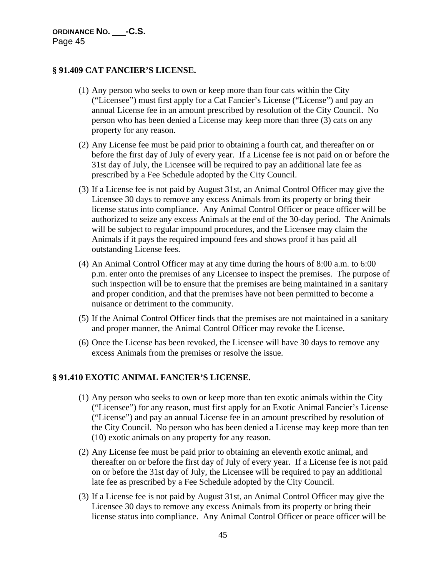## **§ 91.409 CAT FANCIER'S LICENSE.**

- (1) Any person who seeks to own or keep more than four cats within the City ("Licensee") must first apply for a Cat Fancier's License ("License") and pay an annual License fee in an amount prescribed by resolution of the City Council. No person who has been denied a License may keep more than three (3) cats on any property for any reason.
- (2) Any License fee must be paid prior to obtaining a fourth cat, and thereafter on or before the first day of July of every year. If a License fee is not paid on or before the 31st day of July, the Licensee will be required to pay an additional late fee as prescribed by a Fee Schedule adopted by the City Council.
- (3) If a License fee is not paid by August 31st, an Animal Control Officer may give the Licensee 30 days to remove any excess Animals from its property or bring their license status into compliance. Any Animal Control Officer or peace officer will be authorized to seize any excess Animals at the end of the 30-day period. The Animals will be subject to regular impound procedures, and the Licensee may claim the Animals if it pays the required impound fees and shows proof it has paid all outstanding License fees.
- (4) An Animal Control Officer may at any time during the hours of 8:00 a.m. to 6:00 p.m. enter onto the premises of any Licensee to inspect the premises. The purpose of such inspection will be to ensure that the premises are being maintained in a sanitary and proper condition, and that the premises have not been permitted to become a nuisance or detriment to the community.
- (5) If the Animal Control Officer finds that the premises are not maintained in a sanitary and proper manner, the Animal Control Officer may revoke the License.
- (6) Once the License has been revoked, the Licensee will have 30 days to remove any excess Animals from the premises or resolve the issue.

## **§ 91.410 EXOTIC ANIMAL FANCIER'S LICENSE.**

- (1) Any person who seeks to own or keep more than ten exotic animals within the City ("Licensee") for any reason, must first apply for an Exotic Animal Fancier's License ("License") and pay an annual License fee in an amount prescribed by resolution of the City Council. No person who has been denied a License may keep more than ten (10) exotic animals on any property for any reason.
- (2) Any License fee must be paid prior to obtaining an eleventh exotic animal, and thereafter on or before the first day of July of every year. If a License fee is not paid on or before the 31st day of July, the Licensee will be required to pay an additional late fee as prescribed by a Fee Schedule adopted by the City Council.
- (3) If a License fee is not paid by August 31st, an Animal Control Officer may give the Licensee 30 days to remove any excess Animals from its property or bring their license status into compliance. Any Animal Control Officer or peace officer will be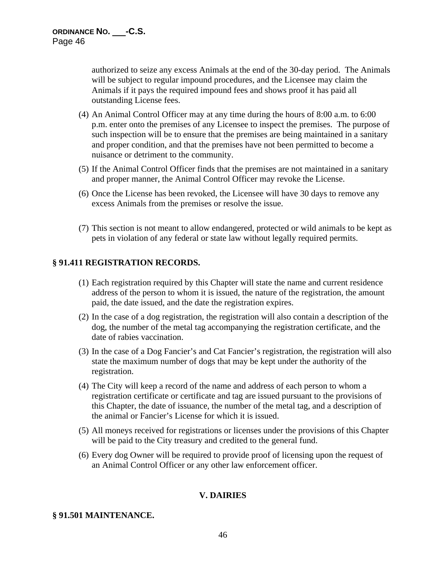authorized to seize any excess Animals at the end of the 30-day period. The Animals will be subject to regular impound procedures, and the Licensee may claim the Animals if it pays the required impound fees and shows proof it has paid all outstanding License fees.

- (4) An Animal Control Officer may at any time during the hours of 8:00 a.m. to 6:00 p.m. enter onto the premises of any Licensee to inspect the premises. The purpose of such inspection will be to ensure that the premises are being maintained in a sanitary and proper condition, and that the premises have not been permitted to become a nuisance or detriment to the community.
- (5) If the Animal Control Officer finds that the premises are not maintained in a sanitary and proper manner, the Animal Control Officer may revoke the License.
- (6) Once the License has been revoked, the Licensee will have 30 days to remove any excess Animals from the premises or resolve the issue.
- (7) This section is not meant to allow endangered, protected or wild animals to be kept as pets in violation of any federal or state law without legally required permits.

# **§ 91.411 REGISTRATION RECORDS.**

- (1) Each registration required by this Chapter will state the name and current residence address of the person to whom it is issued, the nature of the registration, the amount paid, the date issued, and the date the registration expires.
- (2) In the case of a dog registration, the registration will also contain a description of the dog, the number of the metal tag accompanying the registration certificate, and the date of rabies vaccination.
- (3) In the case of a Dog Fancier's and Cat Fancier's registration, the registration will also state the maximum number of dogs that may be kept under the authority of the registration.
- (4) The City will keep a record of the name and address of each person to whom a registration certificate or certificate and tag are issued pursuant to the provisions of this Chapter, the date of issuance, the number of the metal tag, and a description of the animal or Fancier's License for which it is issued.
- (5) All moneys received for registrations or licenses under the provisions of this Chapter will be paid to the City treasury and credited to the general fund.
- (6) Every dog Owner will be required to provide proof of licensing upon the request of an Animal Control Officer or any other law enforcement officer.

### **V. DAIRIES**

### **§ 91.501 MAINTENANCE.**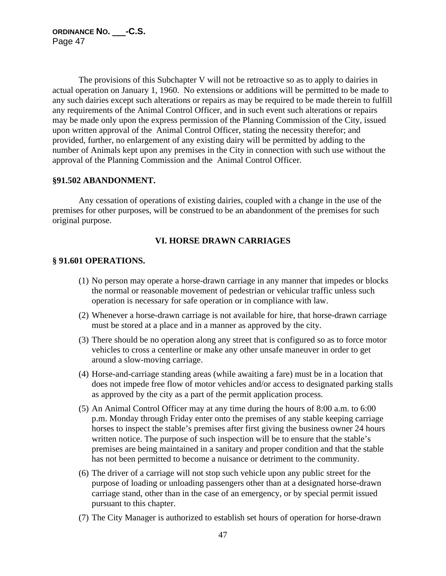The provisions of this Subchapter V will not be retroactive so as to apply to dairies in actual operation on January 1, 1960. No extensions or additions will be permitted to be made to any such dairies except such alterations or repairs as may be required to be made therein to fulfill any requirements of the Animal Control Officer, and in such event such alterations or repairs may be made only upon the express permission of the Planning Commission of the City, issued upon written approval of the Animal Control Officer, stating the necessity therefor; and provided, further, no enlargement of any existing dairy will be permitted by adding to the number of Animals kept upon any premises in the City in connection with such use without the approval of the Planning Commission and the Animal Control Officer.

### **§91.502 ABANDONMENT.**

Any cessation of operations of existing dairies, coupled with a change in the use of the premises for other purposes, will be construed to be an abandonment of the premises for such original purpose.

# **VI. HORSE DRAWN CARRIAGES**

#### **§ 91.601 OPERATIONS.**

- (1) No person may operate a horse-drawn carriage in any manner that impedes or blocks the normal or reasonable movement of pedestrian or vehicular traffic unless such operation is necessary for safe operation or in compliance with law.
- (2) Whenever a horse-drawn carriage is not available for hire, that horse-drawn carriage must be stored at a place and in a manner as approved by the city.
- (3) There should be no operation along any street that is configured so as to force motor vehicles to cross a centerline or make any other unsafe maneuver in order to get around a slow-moving carriage.
- (4) Horse-and-carriage standing areas (while awaiting a fare) must be in a location that does not impede free flow of motor vehicles and/or access to designated parking stalls as approved by the city as a part of the permit application process.
- (5) An Animal Control Officer may at any time during the hours of 8:00 a.m. to 6:00 p.m. Monday through Friday enter onto the premises of any stable keeping carriage horses to inspect the stable's premises after first giving the business owner 24 hours written notice. The purpose of such inspection will be to ensure that the stable's premises are being maintained in a sanitary and proper condition and that the stable has not been permitted to become a nuisance or detriment to the community.
- (6) The driver of a carriage will not stop such vehicle upon any public street for the purpose of loading or unloading passengers other than at a designated horse-drawn carriage stand, other than in the case of an emergency, or by special permit issued pursuant to this chapter.
- (7) The City Manager is authorized to establish set hours of operation for horse-drawn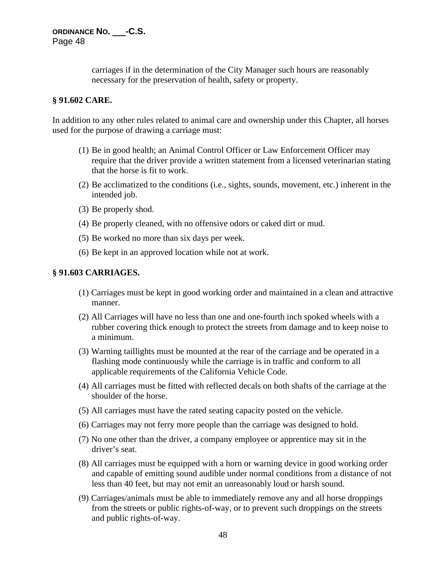carriages if in the determination of the City Manager such hours are reasonably necessary for the preservation of health, safety or property.

### **§ 91.602 CARE.**

In addition to any other rules related to animal care and ownership under this Chapter, all horses used for the purpose of drawing a carriage must:

- (1) Be in good health; an Animal Control Officer or Law Enforcement Officer may require that the driver provide a written statement from a licensed veterinarian stating that the horse is fit to work.
- (2) Be acclimatized to the conditions (i.e., sights, sounds, movement, etc.) inherent in the intended job.
- (3) Be properly shod.
- (4) Be properly cleaned, with no offensive odors or caked dirt or mud.
- (5) Be worked no more than six days per week.
- (6) Be kept in an approved location while not at work.

## **§ 91.603 CARRIAGES.**

- (1) Carriages must be kept in good working order and maintained in a clean and attractive manner.
- (2) All Carriages will have no less than one and one-fourth inch spoked wheels with a rubber covering thick enough to protect the streets from damage and to keep noise to a minimum.
- (3) Warning taillights must be mounted at the rear of the carriage and be operated in a flashing mode continuously while the carriage is in traffic and conform to all applicable requirements of the California Vehicle Code.
- (4) All carriages must be fitted with reflected decals on both shafts of the carriage at the shoulder of the horse.
- (5) All carriages must have the rated seating capacity posted on the vehicle.
- (6) Carriages may not ferry more people than the carriage was designed to hold.
- (7) No one other than the driver, a company employee or apprentice may sit in the driver's seat.
- (8) All carriages must be equipped with a horn or warning device in good working order and capable of emitting sound audible under normal conditions from a distance of not less than 40 feet, but may not emit an unreasonably loud or harsh sound.
- (9) Carriages/animals must be able to immediately remove any and all horse droppings from the streets or public rights-of-way, or to prevent such droppings on the streets and public rights-of-way.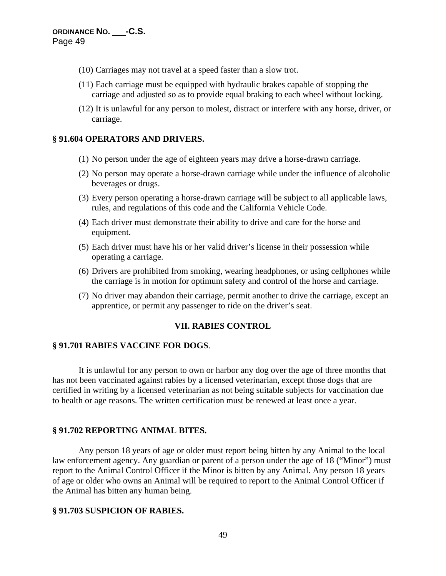- (10) Carriages may not travel at a speed faster than a slow trot.
- (11) Each carriage must be equipped with hydraulic brakes capable of stopping the carriage and adjusted so as to provide equal braking to each wheel without locking.
- (12) It is unlawful for any person to molest, distract or interfere with any horse, driver, or carriage.

#### **§ 91.604 OPERATORS AND DRIVERS.**

- (1) No person under the age of eighteen years may drive a horse-drawn carriage.
- (2) No person may operate a horse-drawn carriage while under the influence of alcoholic beverages or drugs.
- (3) Every person operating a horse-drawn carriage will be subject to all applicable laws, rules, and regulations of this code and the California Vehicle Code.
- (4) Each driver must demonstrate their ability to drive and care for the horse and equipment.
- (5) Each driver must have his or her valid driver's license in their possession while operating a carriage.
- (6) Drivers are prohibited from smoking, wearing headphones, or using cellphones while the carriage is in motion for optimum safety and control of the horse and carriage.
- (7) No driver may abandon their carriage, permit another to drive the carriage, except an apprentice, or permit any passenger to ride on the driver's seat.

### **VII. RABIES CONTROL**

### **§ 91.701 RABIES VACCINE FOR DOGS**.

It is unlawful for any person to own or harbor any dog over the age of three months that has not been vaccinated against rabies by a licensed veterinarian, except those dogs that are certified in writing by a licensed veterinarian as not being suitable subjects for vaccination due to health or age reasons. The written certification must be renewed at least once a year.

#### **§ 91.702 REPORTING ANIMAL BITES***.*

Any person 18 years of age or older must report being bitten by any Animal to the local law enforcement agency. Any guardian or parent of a person under the age of 18 ("Minor") must report to the Animal Control Officer if the Minor is bitten by any Animal. Any person 18 years of age or older who owns an Animal will be required to report to the Animal Control Officer if the Animal has bitten any human being.

#### **§ 91.703 SUSPICION OF RABIES.**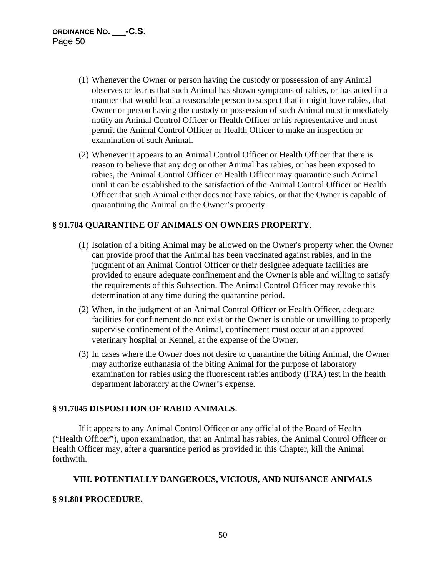- (1) Whenever the Owner or person having the custody or possession of any Animal observes or learns that such Animal has shown symptoms of rabies, or has acted in a manner that would lead a reasonable person to suspect that it might have rabies, that Owner or person having the custody or possession of such Animal must immediately notify an Animal Control Officer or Health Officer or his representative and must permit the Animal Control Officer or Health Officer to make an inspection or examination of such Animal.
- (2) Whenever it appears to an Animal Control Officer or Health Officer that there is reason to believe that any dog or other Animal has rabies, or has been exposed to rabies, the Animal Control Officer or Health Officer may quarantine such Animal until it can be established to the satisfaction of the Animal Control Officer or Health Officer that such Animal either does not have rabies, or that the Owner is capable of quarantining the Animal on the Owner's property.

### **§ 91.704 QUARANTINE OF ANIMALS ON OWNERS PROPERTY**.

- (1) Isolation of a biting Animal may be allowed on the Owner's property when the Owner can provide proof that the Animal has been vaccinated against rabies, and in the judgment of an Animal Control Officer or their designee adequate facilities are provided to ensure adequate confinement and the Owner is able and willing to satisfy the requirements of this Subsection. The Animal Control Officer may revoke this determination at any time during the quarantine period.
- (2) When, in the judgment of an Animal Control Officer or Health Officer, adequate facilities for confinement do not exist or the Owner is unable or unwilling to properly supervise confinement of the Animal, confinement must occur at an approved veterinary hospital or Kennel, at the expense of the Owner.
- (3) In cases where the Owner does not desire to quarantine the biting Animal, the Owner may authorize euthanasia of the biting Animal for the purpose of laboratory examination for rabies using the fluorescent rabies antibody (FRA) test in the health department laboratory at the Owner's expense.

## **§ 91.7045 DISPOSITION OF RABID ANIMALS**.

If it appears to any Animal Control Officer or any official of the Board of Health ("Health Officer"), upon examination, that an Animal has rabies, the Animal Control Officer or Health Officer may, after a quarantine period as provided in this Chapter, kill the Animal forthwith.

### **VIII. POTENTIALLY DANGEROUS, VICIOUS, AND NUISANCE ANIMALS**

### **§ 91.801 PROCEDURE.**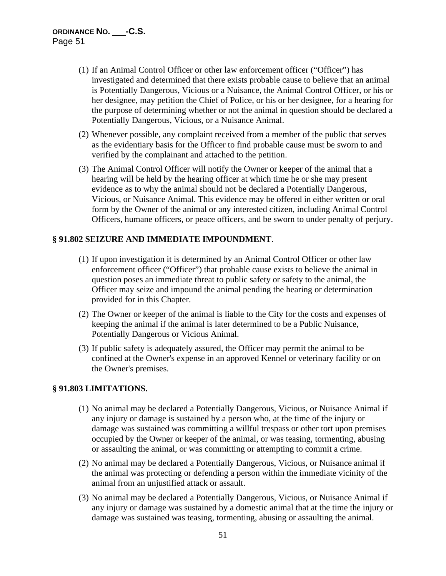- (1) If an Animal Control Officer or other law enforcement officer ("Officer") has investigated and determined that there exists probable cause to believe that an animal is Potentially Dangerous, Vicious or a Nuisance, the Animal Control Officer, or his or her designee, may petition the Chief of Police, or his or her designee, for a hearing for the purpose of determining whether or not the animal in question should be declared a Potentially Dangerous, Vicious, or a Nuisance Animal.
- (2) Whenever possible, any complaint received from a member of the public that serves as the evidentiary basis for the Officer to find probable cause must be sworn to and verified by the complainant and attached to the petition.
- (3) The Animal Control Officer will notify the Owner or keeper of the animal that a hearing will be held by the hearing officer at which time he or she may present evidence as to why the animal should not be declared a Potentially Dangerous, Vicious, or Nuisance Animal. This evidence may be offered in either written or oral form by the Owner of the animal or any interested citizen, including Animal Control Officers, humane officers, or peace officers, and be sworn to under penalty of perjury.

### **§ 91.802 SEIZURE AND IMMEDIATE IMPOUNDMENT**.

- (1) If upon investigation it is determined by an Animal Control Officer or other law enforcement officer ("Officer") that probable cause exists to believe the animal in question poses an immediate threat to public safety or safety to the animal, the Officer may seize and impound the animal pending the hearing or determination provided for in this Chapter.
- (2) The Owner or keeper of the animal is liable to the City for the costs and expenses of keeping the animal if the animal is later determined to be a Public Nuisance, Potentially Dangerous or Vicious Animal.
- (3) If public safety is adequately assured, the Officer may permit the animal to be confined at the Owner's expense in an approved Kennel or veterinary facility or on the Owner's premises.

### **§ 91.803 LIMITATIONS.**

- (1) No animal may be declared a Potentially Dangerous, Vicious, or Nuisance Animal if any injury or damage is sustained by a person who, at the time of the injury or damage was sustained was committing a willful trespass or other tort upon premises occupied by the Owner or keeper of the animal, or was teasing, tormenting, abusing or assaulting the animal, or was committing or attempting to commit a crime.
- (2) No animal may be declared a Potentially Dangerous, Vicious, or Nuisance animal if the animal was protecting or defending a person within the immediate vicinity of the animal from an unjustified attack or assault.
- (3) No animal may be declared a Potentially Dangerous, Vicious, or Nuisance Animal if any injury or damage was sustained by a domestic animal that at the time the injury or damage was sustained was teasing, tormenting, abusing or assaulting the animal.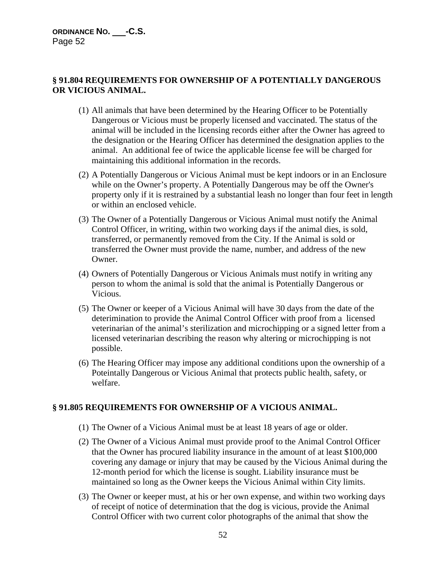# **§ 91.804 REQUIREMENTS FOR OWNERSHIP OF A POTENTIALLY DANGEROUS OR VICIOUS ANIMAL.**

- (1) All animals that have been determined by the Hearing Officer to be Potentially Dangerous or Vicious must be properly licensed and vaccinated. The status of the animal will be included in the licensing records either after the Owner has agreed to the designation or the Hearing Officer has determined the designation applies to the animal. An additional fee of twice the applicable license fee will be charged for maintaining this additional information in the records.
- (2) A Potentially Dangerous or Vicious Animal must be kept indoors or in an Enclosure while on the Owner's property. A Potentially Dangerous may be off the Owner's property only if it is restrained by a substantial leash no longer than four feet in length or within an enclosed vehicle.
- (3) The Owner of a Potentially Dangerous or Vicious Animal must notify the Animal Control Officer, in writing, within two working days if the animal dies, is sold, transferred, or permanently removed from the City. If the Animal is sold or transferred the Owner must provide the name, number, and address of the new Owner.
- (4) Owners of Potentially Dangerous or Vicious Animals must notify in writing any person to whom the animal is sold that the animal is Potentially Dangerous or Vicious.
- (5) The Owner or keeper of a Vicious Animal will have 30 days from the date of the deterimination to provide the Animal Control Officer with proof from a licensed veterinarian of the animal's sterilization and microchipping or a signed letter from a licensed veterinarian describing the reason why altering or microchipping is not possible.
- (6) The Hearing Officer may impose any additional conditions upon the ownership of a Poteintally Dangerous or Vicious Animal that protects public health, safety, or welfare.

## **§ 91.805 REQUIREMENTS FOR OWNERSHIP OF A VICIOUS ANIMAL.**

- (1) The Owner of a Vicious Animal must be at least 18 years of age or older.
- (2) The Owner of a Vicious Animal must provide proof to the Animal Control Officer that the Owner has procured liability insurance in the amount of at least \$100,000 covering any damage or injury that may be caused by the Vicious Animal during the 12-month period for which the license is sought. Liability insurance must be maintained so long as the Owner keeps the Vicious Animal within City limits.
- (3) The Owner or keeper must, at his or her own expense, and within two working days of receipt of notice of determination that the dog is vicious, provide the Animal Control Officer with two current color photographs of the animal that show the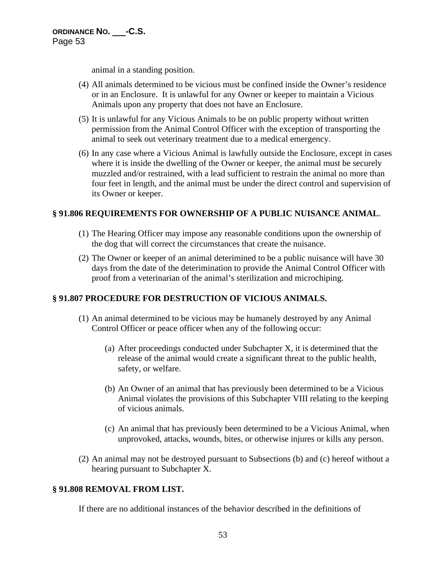animal in a standing position.

- (4) All animals determined to be vicious must be confined inside the Owner's residence or in an Enclosure. It is unlawful for any Owner or keeper to maintain a Vicious Animals upon any property that does not have an Enclosure.
- (5) It is unlawful for any Vicious Animals to be on public property without written permission from the Animal Control Officer with the exception of transporting the animal to seek out veterinary treatment due to a medical emergency.
- (6) In any case where a Vicious Animal is lawfully outside the Enclosure, except in cases where it is inside the dwelling of the Owner or keeper, the animal must be securely muzzled and/or restrained, with a lead sufficient to restrain the animal no more than four feet in length, and the animal must be under the direct control and supervision of its Owner or keeper.

## **§ 91.806 REQUIREMENTS FOR OWNERSHIP OF A PUBLIC NUISANCE ANIMAL**.

- (1) The Hearing Officer may impose any reasonable conditions upon the ownership of the dog that will correct the circumstances that create the nuisance.
- (2) The Owner or keeper of an animal deterimined to be a public nuisance will have 30 days from the date of the deterimination to provide the Animal Control Officer with proof from a veterinarian of the animal's sterilization and microchiping.

# **§ 91.807 PROCEDURE FOR DESTRUCTION OF VICIOUS ANIMALS.**

- (1) An animal determined to be vicious may be humanely destroyed by any Animal Control Officer or peace officer when any of the following occur:
	- (a) After proceedings conducted under Subchapter X, it is determined that the release of the animal would create a significant threat to the public health, safety, or welfare.
	- (b) An Owner of an animal that has previously been determined to be a Vicious Animal violates the provisions of this Subchapter VIII relating to the keeping of vicious animals.
	- (c) An animal that has previously been determined to be a Vicious Animal, when unprovoked, attacks, wounds, bites, or otherwise injures or kills any person.
- (2) An animal may not be destroyed pursuant to Subsections (b) and (c) hereof without a hearing pursuant to Subchapter X.

## **§ 91.808 REMOVAL FROM LIST.**

If there are no additional instances of the behavior described in the definitions of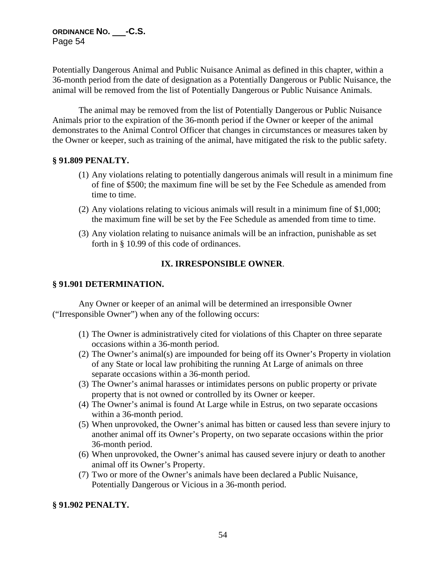Potentially Dangerous Animal and Public Nuisance Animal as defined in this chapter, within a 36-month period from the date of designation as a Potentially Dangerous or Public Nuisance, the animal will be removed from the list of Potentially Dangerous or Public Nuisance Animals.

The animal may be removed from the list of Potentially Dangerous or Public Nuisance Animals prior to the expiration of the 36-month period if the Owner or keeper of the animal demonstrates to the Animal Control Officer that changes in circumstances or measures taken by the Owner or keeper, such as training of the animal, have mitigated the risk to the public safety.

### **§ 91.809 PENALTY.**

- (1) Any violations relating to potentially dangerous animals will result in a minimum fine of fine of \$500; the maximum fine will be set by the Fee Schedule as amended from time to time.
- (2) Any violations relating to vicious animals will result in a minimum fine of \$1,000; the maximum fine will be set by the Fee Schedule as amended from time to time.
- (3) Any violation relating to nuisance animals will be an infraction, punishable as set forth in § 10.99 of this code of ordinances.

## **IX. IRRESPONSIBLE OWNER**.

#### **§ 91.901 DETERMINATION.**

Any Owner or keeper of an animal will be determined an irresponsible Owner ("Irresponsible Owner") when any of the following occurs:

- (1) The Owner is administratively cited for violations of this Chapter on three separate occasions within a 36-month period.
- (2) The Owner's animal(s) are impounded for being off its Owner's Property in violation of any State or local law prohibiting the running At Large of animals on three separate occasions within a 36-month period.
- (3) The Owner's animal harasses or intimidates persons on public property or private property that is not owned or controlled by its Owner or keeper.
- (4) The Owner's animal is found At Large while in Estrus, on two separate occasions within a 36-month period.
- (5) When unprovoked, the Owner's animal has bitten or caused less than severe injury to another animal off its Owner's Property, on two separate occasions within the prior 36-month period.
- (6) When unprovoked, the Owner's animal has caused severe injury or death to another animal off its Owner's Property.
- (7) Two or more of the Owner's animals have been declared a Public Nuisance, Potentially Dangerous or Vicious in a 36-month period.

### **§ 91.902 PENALTY.**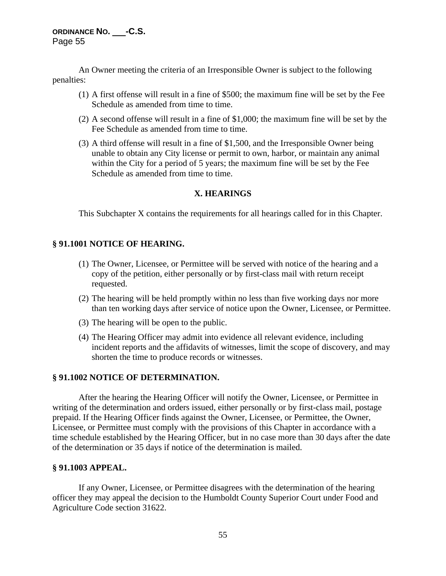An Owner meeting the criteria of an Irresponsible Owner is subject to the following penalties:

- (1) A first offense will result in a fine of \$500; the maximum fine will be set by the Fee Schedule as amended from time to time.
- (2) A second offense will result in a fine of \$1,000; the maximum fine will be set by the Fee Schedule as amended from time to time.
- (3) A third offense will result in a fine of \$1,500, and the Irresponsible Owner being unable to obtain any City license or permit to own, harbor, or maintain any animal within the City for a period of 5 years; the maximum fine will be set by the Fee Schedule as amended from time to time.

### **X. HEARINGS**

This Subchapter X contains the requirements for all hearings called for in this Chapter.

### **§ 91.1001 NOTICE OF HEARING.**

- (1) The Owner, Licensee, or Permittee will be served with notice of the hearing and a copy of the petition, either personally or by first-class mail with return receipt requested.
- (2) The hearing will be held promptly within no less than five working days nor more than ten working days after service of notice upon the Owner, Licensee, or Permittee.
- (3) The hearing will be open to the public.
- (4) The Hearing Officer may admit into evidence all relevant evidence, including incident reports and the affidavits of witnesses, limit the scope of discovery, and may shorten the time to produce records or witnesses.

### **§ 91.1002 NOTICE OF DETERMINATION.**

After the hearing the Hearing Officer will notify the Owner, Licensee, or Permittee in writing of the determination and orders issued, either personally or by first-class mail, postage prepaid. If the Hearing Officer finds against the Owner, Licensee, or Permittee, the Owner, Licensee, or Permittee must comply with the provisions of this Chapter in accordance with a time schedule established by the Hearing Officer, but in no case more than 30 days after the date of the determination or 35 days if notice of the determination is mailed.

### **§ 91.1003 APPEAL.**

If any Owner, Licensee, or Permittee disagrees with the determination of the hearing officer they may appeal the decision to the Humboldt County Superior Court under Food and Agriculture Code section 31622.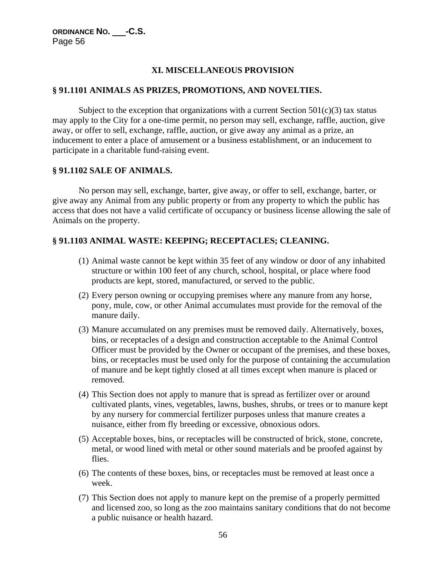# **XI. MISCELLANEOUS PROVISION**

### **§ 91.1101 ANIMALS AS PRIZES, PROMOTIONS, AND NOVELTIES.**

Subject to the exception that organizations with a current Section  $501(c)(3)$  tax status may apply to the City for a one-time permit, no person may sell, exchange, raffle, auction, give away, or offer to sell, exchange, raffle, auction, or give away any animal as a prize, an inducement to enter a place of amusement or a business establishment, or an inducement to participate in a charitable fund-raising event.

### **§ 91.1102 SALE OF ANIMALS.**

No person may sell, exchange, barter, give away, or offer to sell, exchange, barter, or give away any Animal from any public property or from any property to which the public has access that does not have a valid certificate of occupancy or business license allowing the sale of Animals on the property.

## **§ 91.1103 ANIMAL WASTE: KEEPING; RECEPTACLES; CLEANING.**

- (1) Animal waste cannot be kept within 35 feet of any window or door of any inhabited structure or within 100 feet of any church, school, hospital, or place where food products are kept, stored, manufactured, or served to the public.
- (2) Every person owning or occupying premises where any manure from any horse, pony, mule, cow, or other Animal accumulates must provide for the removal of the manure daily.
- (3) Manure accumulated on any premises must be removed daily. Alternatively, boxes, bins, or receptacles of a design and construction acceptable to the Animal Control Officer must be provided by the Owner or occupant of the premises, and these boxes, bins, or receptacles must be used only for the purpose of containing the accumulation of manure and be kept tightly closed at all times except when manure is placed or removed.
- (4) This Section does not apply to manure that is spread as fertilizer over or around cultivated plants, vines, vegetables, lawns, bushes, shrubs, or trees or to manure kept by any nursery for commercial fertilizer purposes unless that manure creates a nuisance, either from fly breeding or excessive, obnoxious odors.
- (5) Acceptable boxes, bins, or receptacles will be constructed of brick, stone, concrete, metal, or wood lined with metal or other sound materials and be proofed against by flies.
- (6) The contents of these boxes, bins, or receptacles must be removed at least once a week.
- (7) This Section does not apply to manure kept on the premise of a properly permitted and licensed zoo, so long as the zoo maintains sanitary conditions that do not become a public nuisance or health hazard.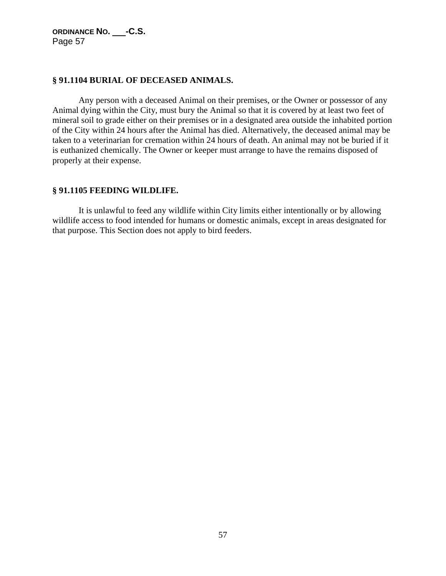### **§ 91.1104 BURIAL OF DECEASED ANIMALS.**

Any person with a deceased Animal on their premises, or the Owner or possessor of any Animal dying within the City, must bury the Animal so that it is covered by at least two feet of mineral soil to grade either on their premises or in a designated area outside the inhabited portion of the City within 24 hours after the Animal has died. Alternatively, the deceased animal may be taken to a veterinarian for cremation within 24 hours of death. An animal may not be buried if it is euthanized chemically. The Owner or keeper must arrange to have the remains disposed of properly at their expense.

### **§ 91.1105 FEEDING WILDLIFE.**

It is unlawful to feed any wildlife within City limits either intentionally or by allowing wildlife access to food intended for humans or domestic animals, except in areas designated for that purpose. This Section does not apply to bird feeders.